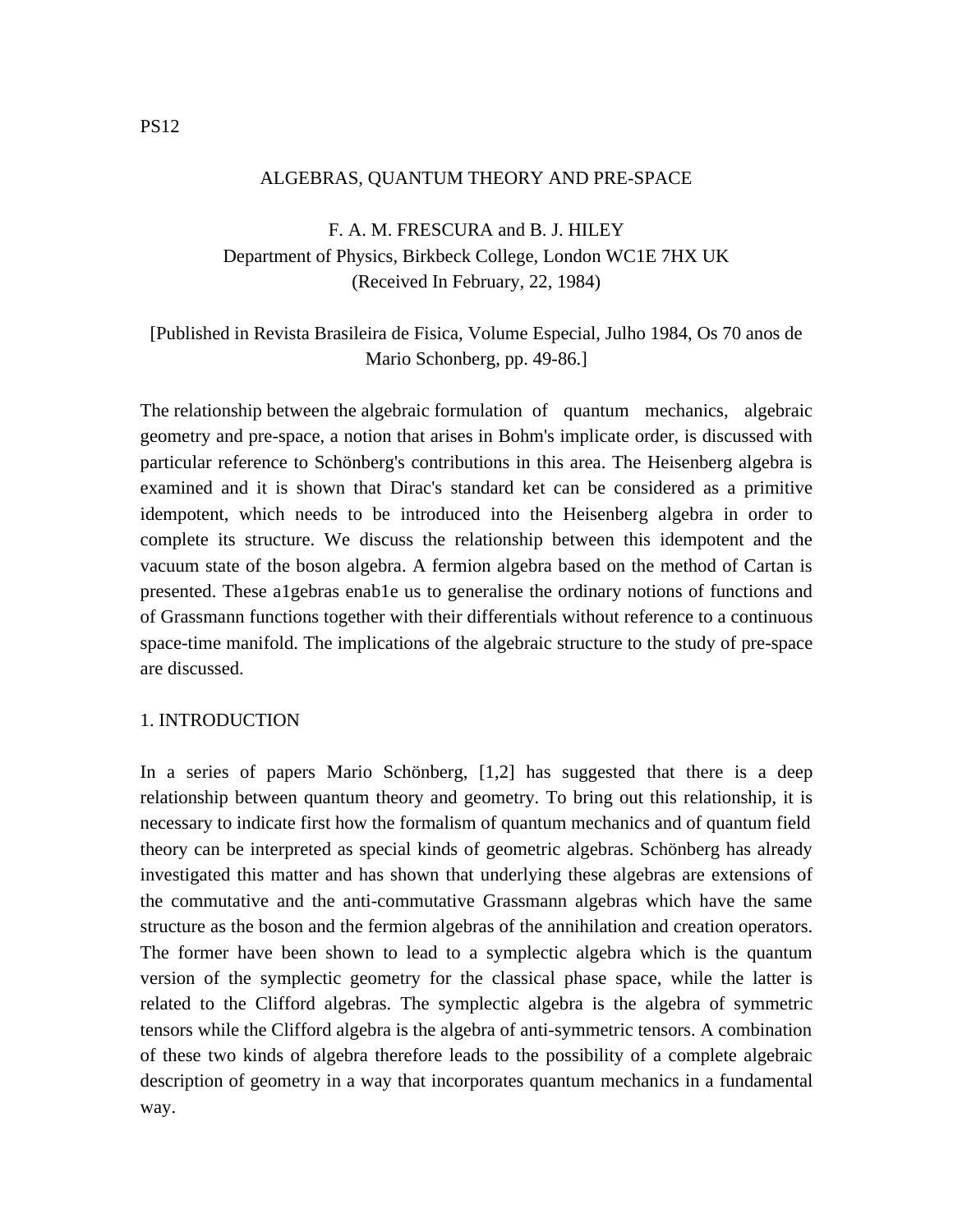### ALGEBRAS, QUANTUM THEORY AND PRE-SPACE

# F. A. M. FRESCURA and B. J. HILEY Department of Physics, Birkbeck College, London WC1E 7HX UK (Received In February, 22, 1984)

# [Published in Revista Brasileira de Fisica, Volume Especial, Julho 1984, Os 70 anos de Mario Schonberg, pp. 49-86.]

The relationship between the algebraic formulation of quantum mechanics, algebraic geometry and pre-space, a notion that arises in Bohm's implicate order, is discussed with particular reference to Schönberg's contributions in this area. The Heisenberg algebra is examined and it is shown that Dirac's standard ket can be considered as a primitive idempotent, which needs to be introduced into the Heisenberg algebra in order to complete its structure. We discuss the relationship between this idempotent and the vacuum state of the boson algebra. A fermion algebra based on the method of Cartan is presented. These a1gebras enab1e us to generalise the ordinary notions of functions and of Grassmann functions together with their differentials without reference to a continuous space-time manifold. The implications of the algebraic structure to the study of pre-space are discussed.

## 1. INTRODUCTION

In a series of papers Mario Schönberg, [1,2] has suggested that there is a deep relationship between quantum theory and geometry. To bring out this relationship, it is necessary to indicate first how the formalism of quantum mechanics and of quantum field theory can be interpreted as special kinds of geometric algebras. Schönberg has already investigated this matter and has shown that underlying these algebras are extensions of the commutative and the anti-commutative Grassmann algebras which have the same structure as the boson and the fermion algebras of the annihilation and creation operators. The former have been shown to lead to a symplectic algebra which is the quantum version of the symplectic geometry for the classical phase space, while the latter is related to the Clifford algebras. The symplectic algebra is the algebra of symmetric tensors while the Clifford algebra is the algebra of anti-symmetric tensors. A combination of these two kinds of algebra therefore leads to the possibility of a complete algebraic description of geometry in a way that incorporates quantum mechanics in a fundamental way.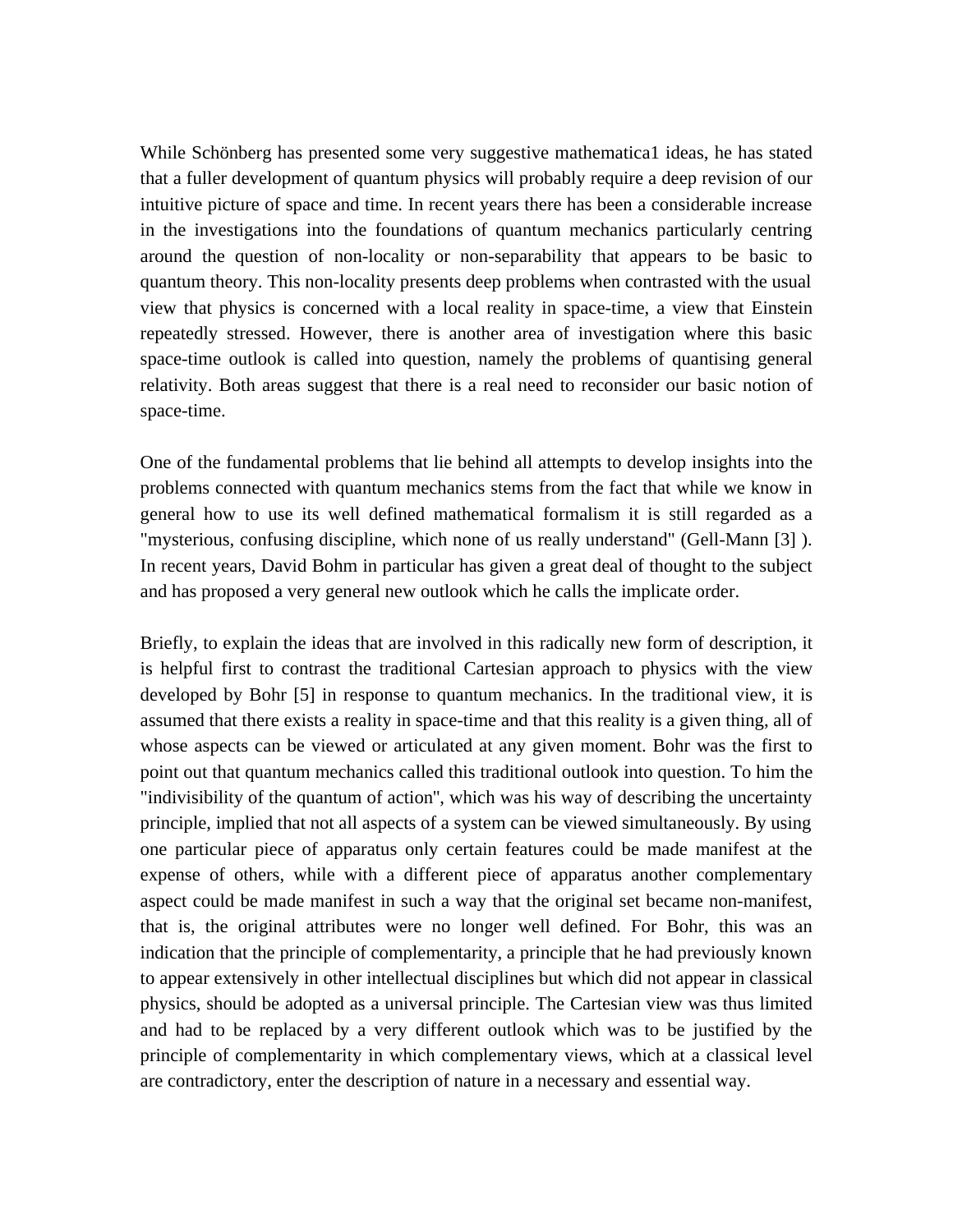While Schönberg has presented some very suggestive mathematica1 ideas, he has stated that a fuller development of quantum physics will probably require a deep revision of our intuitive picture of space and time. In recent years there has been a considerable increase in the investigations into the foundations of quantum mechanics particularly centring around the question of non-locality or non-separability that appears to be basic to quantum theory. This non-locality presents deep problems when contrasted with the usual view that physics is concerned with a local reality in space-time, a view that Einstein repeatedly stressed. However, there is another area of investigation where this basic space-time outlook is called into question, namely the problems of quantising general relativity. Both areas suggest that there is a real need to reconsider our basic notion of space-time.

One of the fundamental problems that lie behind all attempts to develop insights into the problems connected with quantum mechanics stems from the fact that while we know in general how to use its well defined mathematical formalism it is still regarded as a "mysterious, confusing discipline, which none of us really understand" (Gell-Mann [3] ). In recent years, David Bohm in particular has given a great deal of thought to the subject and has proposed a very general new outlook which he calls the implicate order.

Briefly, to explain the ideas that are involved in this radically new form of description, it is helpful first to contrast the traditional Cartesian approach to physics with the view developed by Bohr [5] in response to quantum mechanics. In the traditional view, it is assumed that there exists a reality in space-time and that this reality is a given thing, all of whose aspects can be viewed or articulated at any given moment. Bohr was the first to point out that quantum mechanics called this traditional outlook into question. To him the "indivisibility of the quantum of action'', which was his way of describing the uncertainty principle, implied that not all aspects of a system can be viewed simultaneously. By using one particular piece of apparatus only certain features could be made manifest at the expense of others, while with a different piece of apparatus another complementary aspect could be made manifest in such a way that the original set became non-manifest, that is, the original attributes were no longer well defined. For Bohr, this was an indication that the principle of complementarity, a principle that he had previously known to appear extensively in other intellectual disciplines but which did not appear in classical physics, should be adopted as a universal principle. The Cartesian view was thus limited and had to be replaced by a very different outlook which was to be justified by the principle of complementarity in which complementary views, which at a classical level are contradictory, enter the description of nature in a necessary and essential way.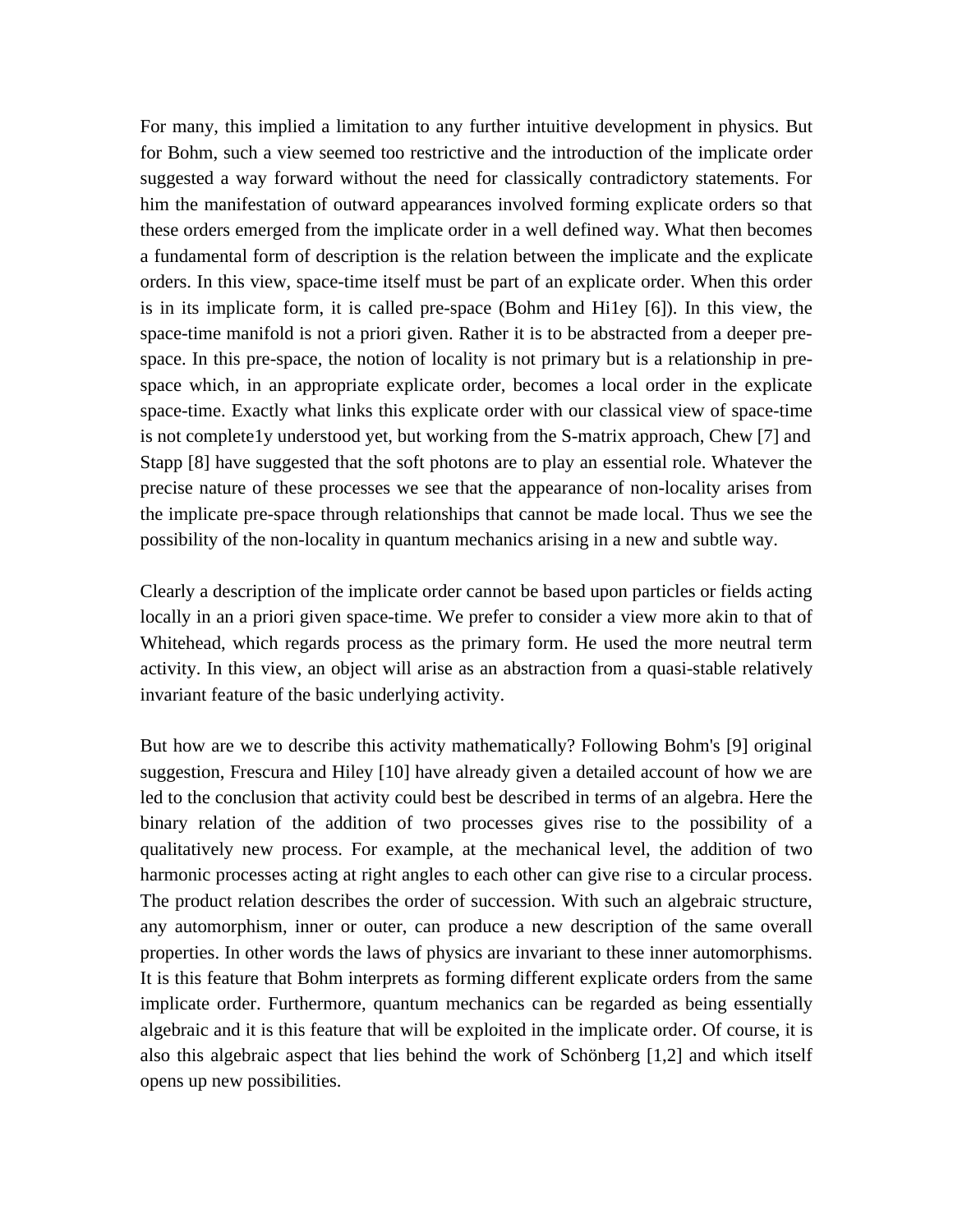For many, this implied a limitation to any further intuitive development in physics. But for Bohm, such a view seemed too restrictive and the introduction of the implicate order suggested a way forward without the need for classically contradictory statements. For him the manifestation of outward appearances involved forming explicate orders so that these orders emerged from the implicate order in a well defined way. What then becomes a fundamental form of description is the relation between the implicate and the explicate orders. In this view, space-time itself must be part of an explicate order. When this order is in its implicate form, it is called pre-space (Bohm and Hi1ey [6]). In this view, the space-time manifold is not a priori given. Rather it is to be abstracted from a deeper prespace. In this pre-space, the notion of locality is not primary but is a relationship in prespace which, in an appropriate explicate order, becomes a local order in the explicate space-time. Exactly what links this explicate order with our classical view of space-time is not complete1y understood yet, but working from the S-matrix approach, Chew [7] and Stapp [8] have suggested that the soft photons are to play an essential role. Whatever the precise nature of these processes we see that the appearance of non-locality arises from the implicate pre-space through relationships that cannot be made local. Thus we see the possibility of the non-locality in quantum mechanics arising in a new and subtle way.

Clearly a description of the implicate order cannot be based upon particles or fields acting locally in an a priori given space-time. We prefer to consider a view more akin to that of Whitehead, which regards process as the primary form. He used the more neutral term activity. In this view, an object will arise as an abstraction from a quasi-stable relatively invariant feature of the basic underlying activity.

But how are we to describe this activity mathematically? Following Bohm's [9] original suggestion, Frescura and Hiley [10] have already given a detailed account of how we are led to the conclusion that activity could best be described in terms of an algebra. Here the binary relation of the addition of two processes gives rise to the possibility of a qualitatively new process. For example, at the mechanical level, the addition of two harmonic processes acting at right angles to each other can give rise to a circular process. The product relation describes the order of succession. With such an algebraic structure, any automorphism, inner or outer, can produce a new description of the same overall properties. In other words the laws of physics are invariant to these inner automorphisms. It is this feature that Bohm interprets as forming different explicate orders from the same implicate order. Furthermore, quantum mechanics can be regarded as being essentially algebraic and it is this feature that will be exploited in the implicate order. Of course, it is also this algebraic aspect that lies behind the work of Schönberg [1,2] and which itself opens up new possibilities.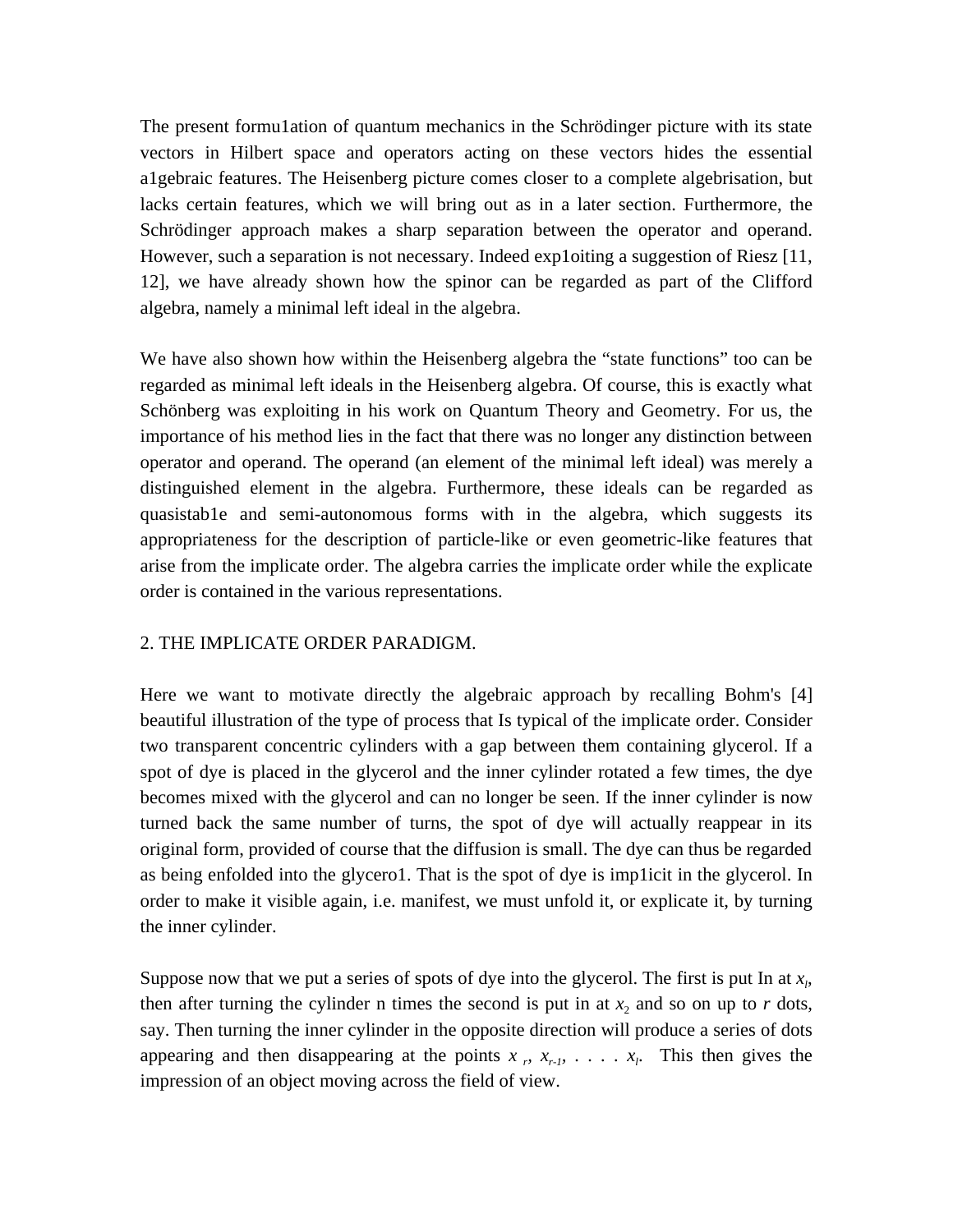The present formu1ation of quantum mechanics in the Schrödinger picture with its state vectors in Hilbert space and operators acting on these vectors hides the essential a1gebraic features. The Heisenberg picture comes closer to a complete algebrisation, but lacks certain features, which we will bring out as in a later section. Furthermore, the Schrödinger approach makes a sharp separation between the operator and operand. However, such a separation is not necessary. Indeed exp1oiting a suggestion of Riesz [11, 12], we have already shown how the spinor can be regarded as part of the Clifford algebra, namely a minimal left ideal in the algebra.

We have also shown how within the Heisenberg algebra the "state functions" too can be regarded as minimal left ideals in the Heisenberg algebra. Of course, this is exactly what Schönberg was exploiting in his work on Quantum Theory and Geometry. For us, the importance of his method lies in the fact that there was no longer any distinction between operator and operand. The operand (an element of the minimal left ideal) was merely a distinguished element in the algebra. Furthermore, these ideals can be regarded as quasistab1e and semi-autonomous forms with in the algebra, which suggests its appropriateness for the description of particle-like or even geometric-like features that arise from the implicate order. The algebra carries the implicate order while the explicate order is contained in the various representations.

## 2. THE IMPLICATE ORDER PARADIGM.

Here we want to motivate directly the algebraic approach by recalling Bohm's [4] beautiful illustration of the type of process that Is typical of the implicate order. Consider two transparent concentric cylinders with a gap between them containing glycerol. If a spot of dye is placed in the glycerol and the inner cylinder rotated a few times, the dye becomes mixed with the glycerol and can no longer be seen. If the inner cylinder is now turned back the same number of turns, the spot of dye will actually reappear in its original form, provided of course that the diffusion is small. The dye can thus be regarded as being enfolded into the glycero1. That is the spot of dye is imp1icit in the glycerol. In order to make it visible again, i.e. manifest, we must unfold it, or explicate it, by turning the inner cylinder.

Suppose now that we put a series of spots of dye into the glycerol. The first is put In at *x<sup>l</sup>* , then after turning the cylinder n times the second is put in at  $x_2$  and so on up to  $r$  dots, say. Then turning the inner cylinder in the opposite direction will produce a series of dots appearing and then disappearing at the points  $x_r$ ,  $x_{r-1}$ ,  $\ldots$ ,  $x_l$ . This then gives the impression of an object moving across the field of view.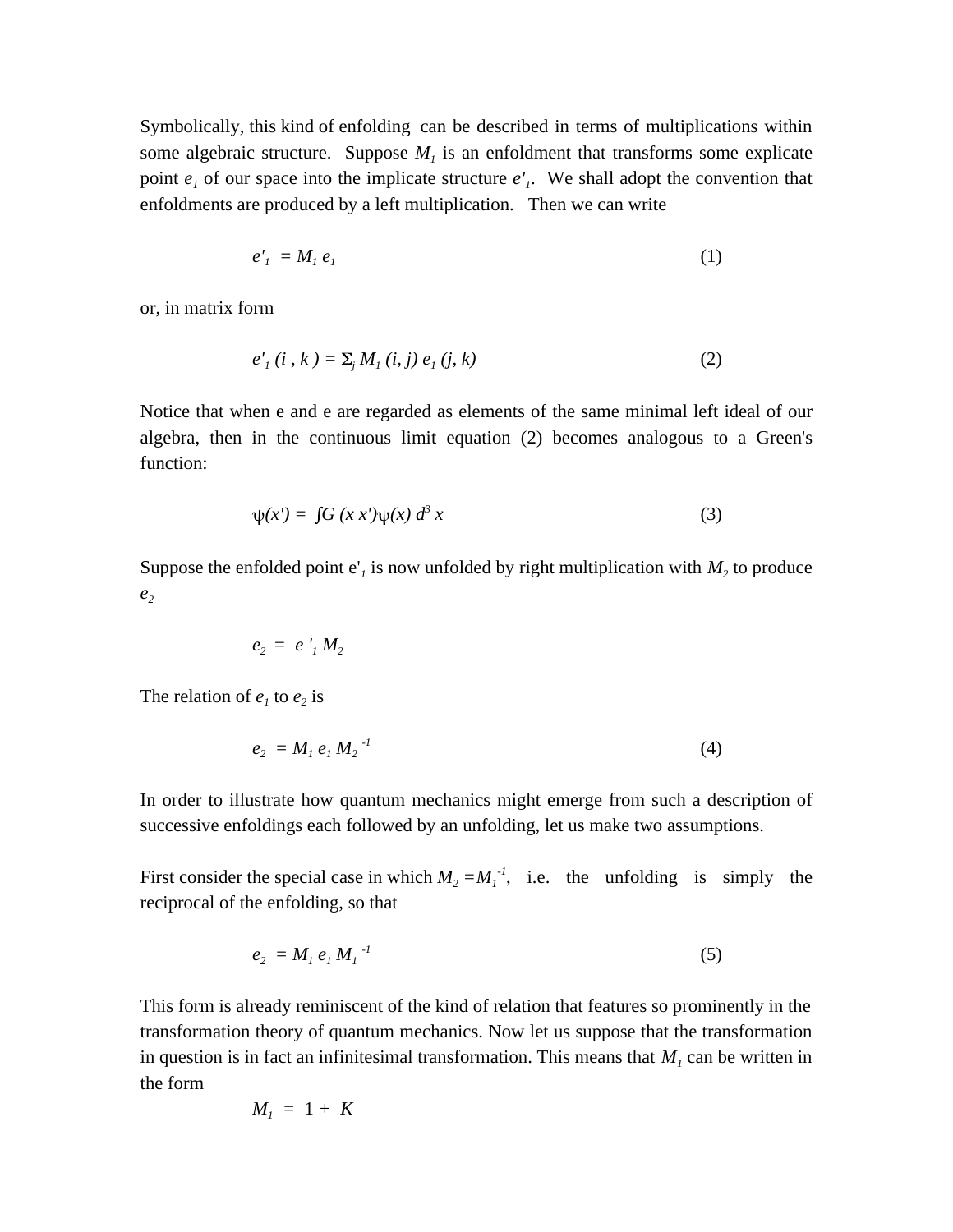Symbolically, this kind of enfolding can be described in terms of multiplications within some algebraic structure. Suppose  $M<sub>1</sub>$  is an enfoldment that transforms some explicate point  $e_i$  of our space into the implicate structure  $e'_i$ . We shall adopt the convention that enfoldments are produced by a left multiplication. Then we can write

$$
e'_1 = M_1 e_1 \tag{1}
$$

or, in matrix form

$$
e'_{1}(i, k) = \sum_{j} M_{1}(i, j) e_{1}(j, k)
$$
 (2)

Notice that when e and e are regarded as elements of the same minimal left ideal of our algebra, then in the continuous limit equation (2) becomes analogous to a Green's function:

$$
\psi(x') = \int G(x x') \psi(x) d^3 x \tag{3}
$$

Suppose the enfolded point  $e'$ <sub>*i*</sub> is now unfolded by right multiplication with  $M$ <sup>2</sup> to produce *e2*

$$
e_2 = e'_1 M_2
$$

The relation of  $e_1$  to  $e_2$  is

$$
e_2 = M_1 e_1 M_2^{-1} \tag{4}
$$

In order to illustrate how quantum mechanics might emerge from such a description of successive enfoldings each followed by an unfolding, let us make two assumptions.

First consider the special case in which  $M_2 = M_1^{-1}$ , i.e. the unfolding is simply the reciprocal of the enfolding, so that

$$
e_2 = M_1 e_1 M_1^{-1}
$$
 (5)

This form is already reminiscent of the kind of relation that features so prominently in the transformation theory of quantum mechanics. Now let us suppose that the transformation in question is in fact an infinitesimal transformation. This means that  $M<sub>1</sub>$  can be written in the form

$$
M_{I} = 1 + K
$$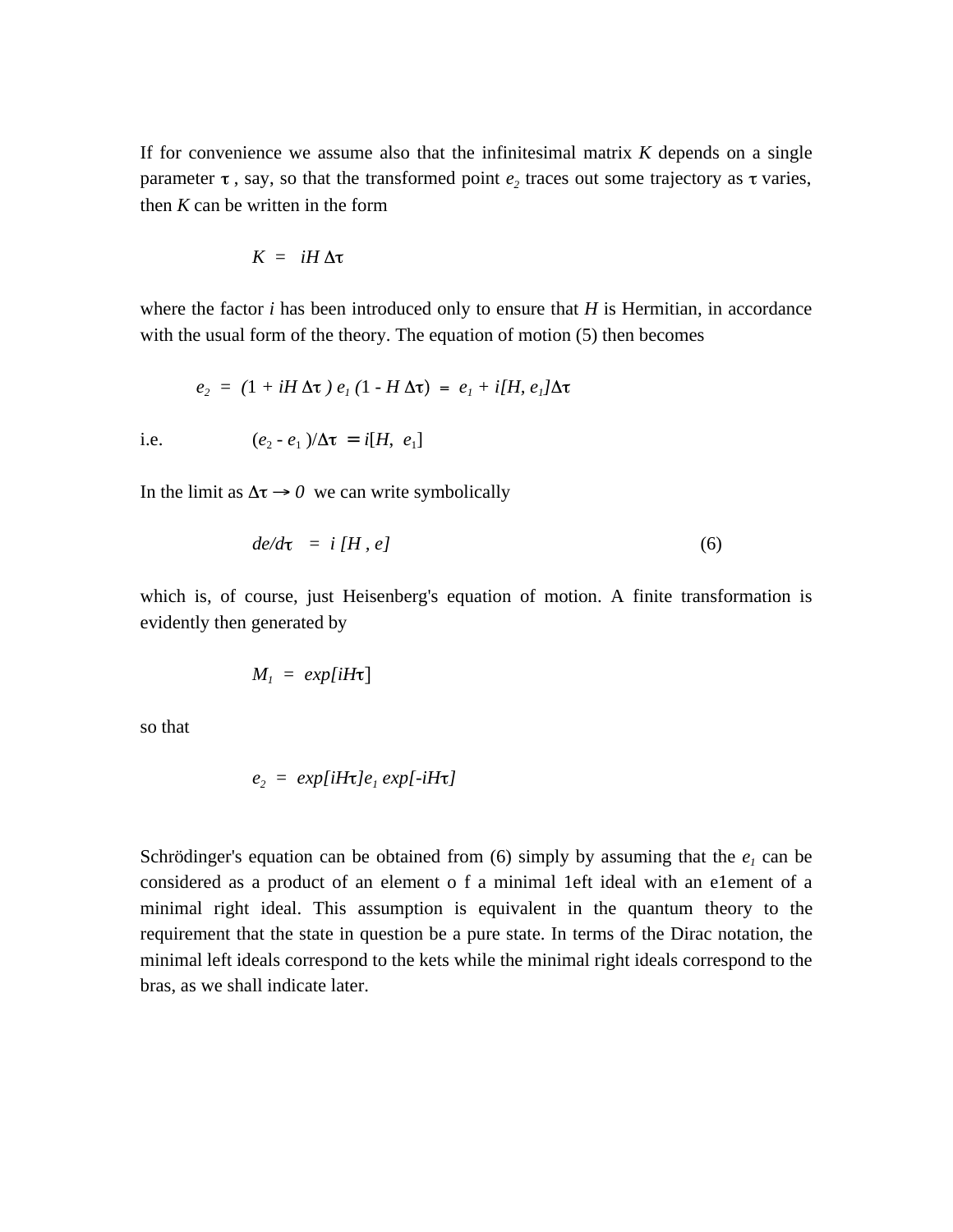If for convenience we assume also that the infinitesimal matrix *K* depends on a single parameter  $\tau$ , say, so that the transformed point  $e_2$  traces out some trajectory as  $\tau$  varies, then *K* can be written in the form

$$
K = iH \Delta \tau
$$

where the factor *i* has been introduced only to ensure that *H* is Hermitian, in accordance with the usual form of the theory. The equation of motion (5) then becomes

$$
e_2 = (1 + iH \Delta \tau) e_1 (1 - H \Delta \tau) = e_1 + i[H, e_1] \Delta \tau
$$

i.e.  $(e_2 - e_1)/\Delta \tau = i[H, e_1]$ 

In the limit as  $\Delta \tau \rightarrow 0$  we can write symbolically

$$
de/d\tau = i[H, e] \tag{6}
$$

which is, of course, just Heisenberg's equation of motion. A finite transformation is evidently then generated by

$$
M_1 = exp[iH\tau]
$$

so that

$$
e_2 = exp[iH\tau]e_1 exp[-iH\tau]
$$

Schrödinger's equation can be obtained from  $(6)$  simply by assuming that the  $e<sub>1</sub>$  can be considered as a product of an element o f a minimal 1eft ideal with an e1ement of a minimal right ideal. This assumption is equivalent in the quantum theory to the requirement that the state in question be a pure state. In terms of the Dirac notation, the minimal left ideals correspond to the kets while the minimal right ideals correspond to the bras, as we shall indicate later.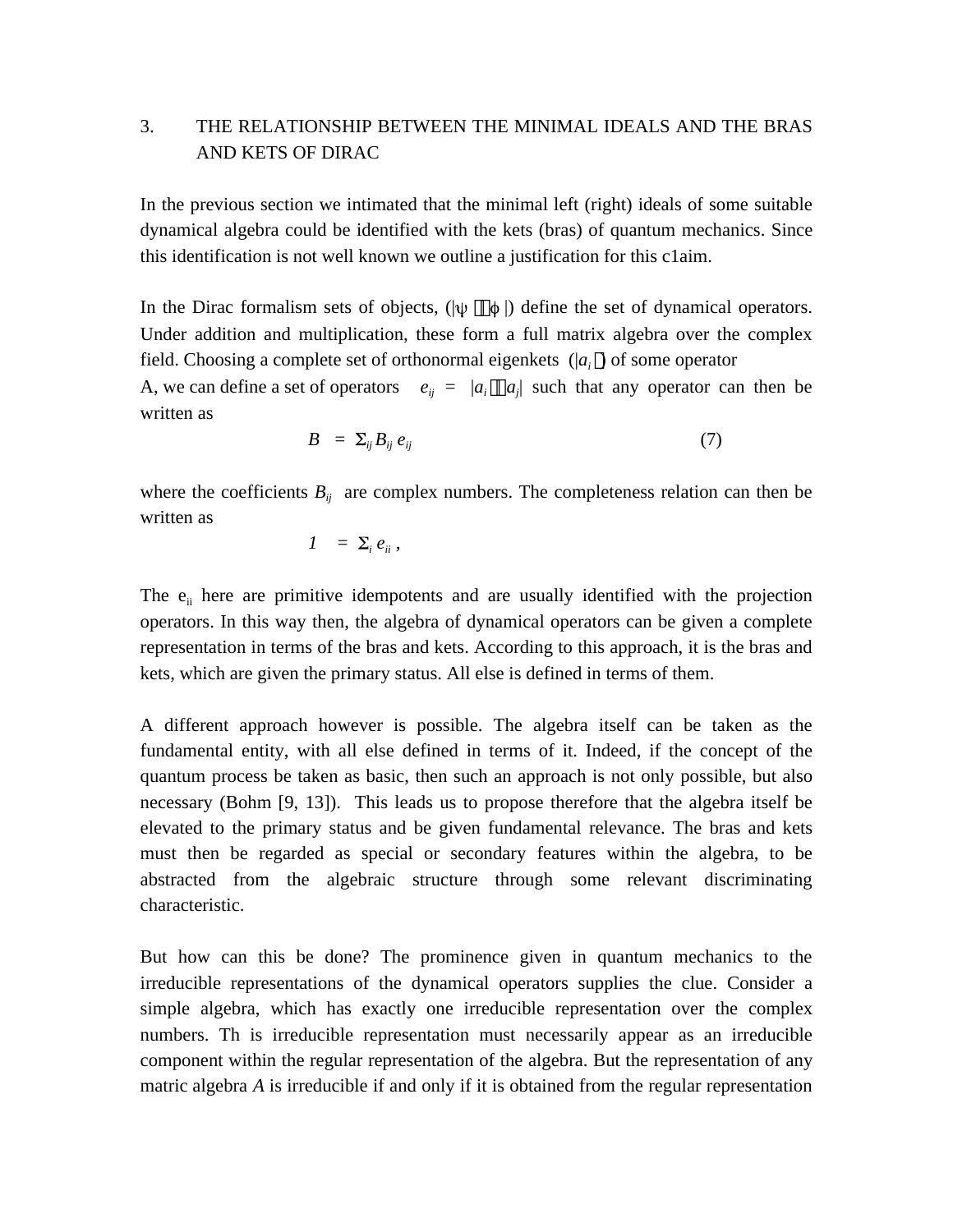# 3. THE RELATIONSHIP BETWEEN THE MINIMAL IDEALS AND THE BRAS AND KETS OF DIRAC

In the previous section we intimated that the minimal left (right) ideals of some suitable dynamical algebra could be identified with the kets (bras) of quantum mechanics. Since this identification is not well known we outline a justification for this c1aim.

In the Dirac formalism sets of objects,  $(|\psi \phi|)$  define the set of dynamical operators. Under addition and multiplication, these form a full matrix algebra over the complex field. Choosing a complete set of orthonormal eigenkets (|*a<sup>i</sup>* ) of some operator A, we can define a set of operators  $e_{ij} = |a_i \ a_j|$  such that any operator can then be written as

$$
B = \sum_{ij} B_{ij} e_{ij} \tag{7}
$$

where the coefficients  $B_{ij}$  are complex numbers. The completeness relation can then be written as

$$
I = \Sigma_i e_{ii},
$$

The  $e_{ii}$  here are primitive idempotents and are usually identified with the projection operators. In this way then, the algebra of dynamical operators can be given a complete representation in terms of the bras and kets. According to this approach, it is the bras and kets, which are given the primary status. All else is defined in terms of them.

A different approach however is possible. The algebra itself can be taken as the fundamental entity, with all else defined in terms of it. Indeed, if the concept of the quantum process be taken as basic, then such an approach is not only possible, but also necessary (Bohm [9, 13]). This leads us to propose therefore that the algebra itself be elevated to the primary status and be given fundamental relevance. The bras and kets must then be regarded as special or secondary features within the algebra, to be abstracted from the algebraic structure through some relevant discriminating characteristic.

But how can this be done? The prominence given in quantum mechanics to the irreducible representations of the dynamical operators supplies the clue. Consider a simple algebra, which has exactly one irreducible representation over the complex numbers. Th is irreducible representation must necessarily appear as an irreducible component within the regular representation of the algebra. But the representation of any matric algebra *A* is irreducible if and only if it is obtained from the regular representation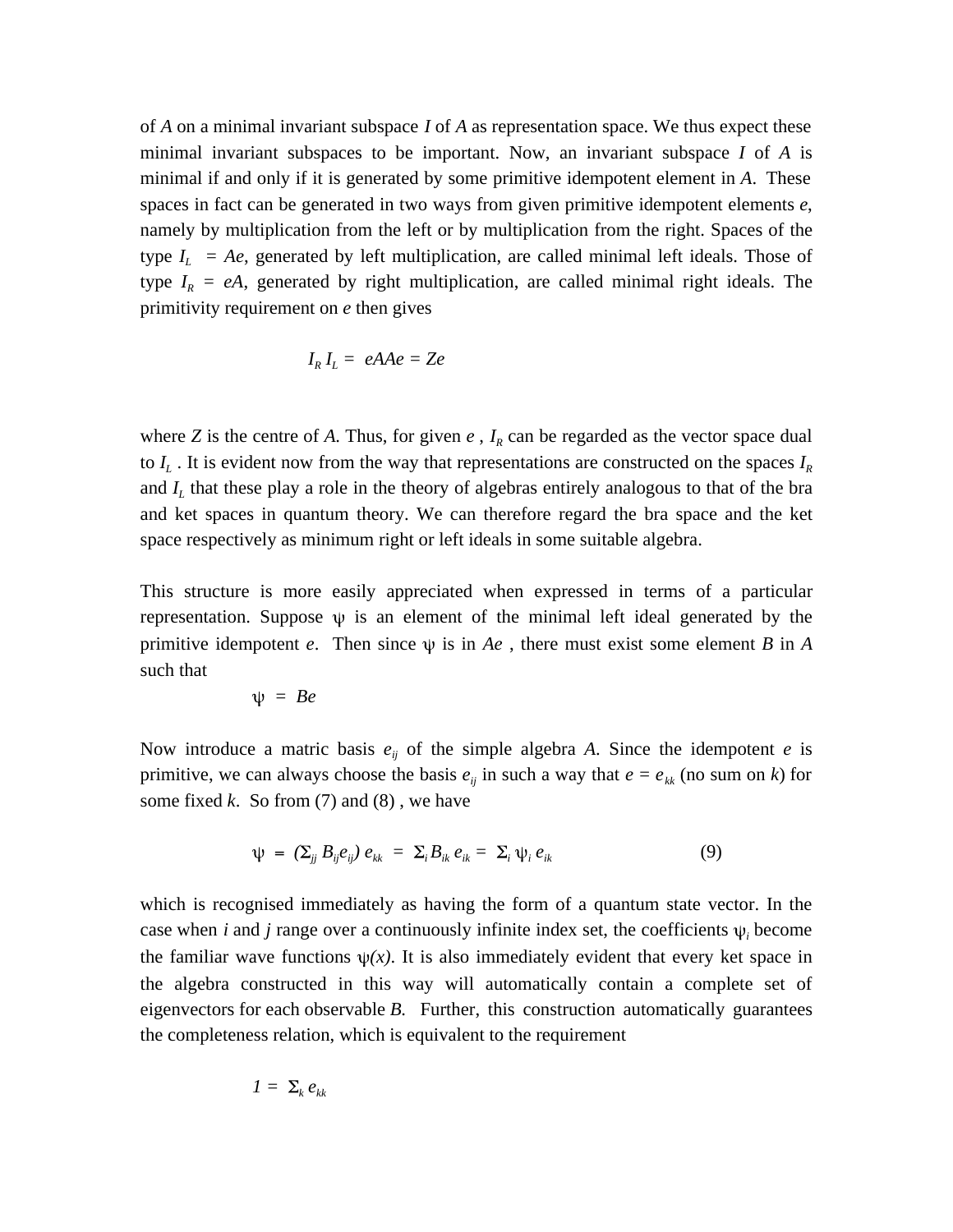of *A* on a minimal invariant subspace *I* of *A* as representation space. We thus expect these minimal invariant subspaces to be important. Now, an invariant subspace *I* of *A* is minimal if and only if it is generated by some primitive idempotent element in *A*. These spaces in fact can be generated in two ways from given primitive idempotent elements *e*, namely by multiplication from the left or by multiplication from the right. Spaces of the type  $I_L$  = Ae, generated by left multiplication, are called minimal left ideals. Those of type  $I_R = eA$ , generated by right multiplication, are called minimal right ideals. The primitivity requirement on *e* then gives

$$
I_R I_L = eAAe = Ze
$$

where *Z* is the centre of *A*. Thus, for given  $e$ ,  $I_R$  can be regarded as the vector space dual to *I<sup>L</sup>* . It is evident now from the way that representations are constructed on the spaces *I<sup>R</sup>* and *I<sup>L</sup>* that these play a role in the theory of algebras entirely analogous to that of the bra and ket spaces in quantum theory. We can therefore regard the bra space and the ket space respectively as minimum right or left ideals in some suitable algebra.

This structure is more easily appreciated when expressed in terms of a particular representation. Suppose  $\psi$  is an element of the minimal left ideal generated by the primitive idempotent *e*. Then since  $\psi$  is in *Ae*, there must exist some element *B* in *A* such that

$$
\psi = Be
$$

Now introduce a matric basis  $e_{ij}$  of the simple algebra A. Since the idempotent *e* is primitive, we can always choose the basis  $e_{ij}$  in such a way that  $e = e_{kk}$  (no sum on k) for some fixed *k*. So from (7) and (8) , we have

$$
\psi = (\Sigma_{jj} B_{ij} e_{ij}) e_{kk} = \Sigma_i B_{ik} e_{ik} = \Sigma_i \psi_i e_{ik}
$$
\n(9)

which is recognised immediately as having the form of a quantum state vector. In the case when *i* and *j* range over a continuously infinite index set, the coefficients  $\psi_i$  become the familiar wave functions  $\psi(x)$ . It is also immediately evident that every ket space in the algebra constructed in this way will automatically contain a complete set of eigenvectors for each observable *B*. Further, this construction automatically guarantees the completeness relation, which is equivalent to the requirement

$$
I = \sum_k e_{kk}
$$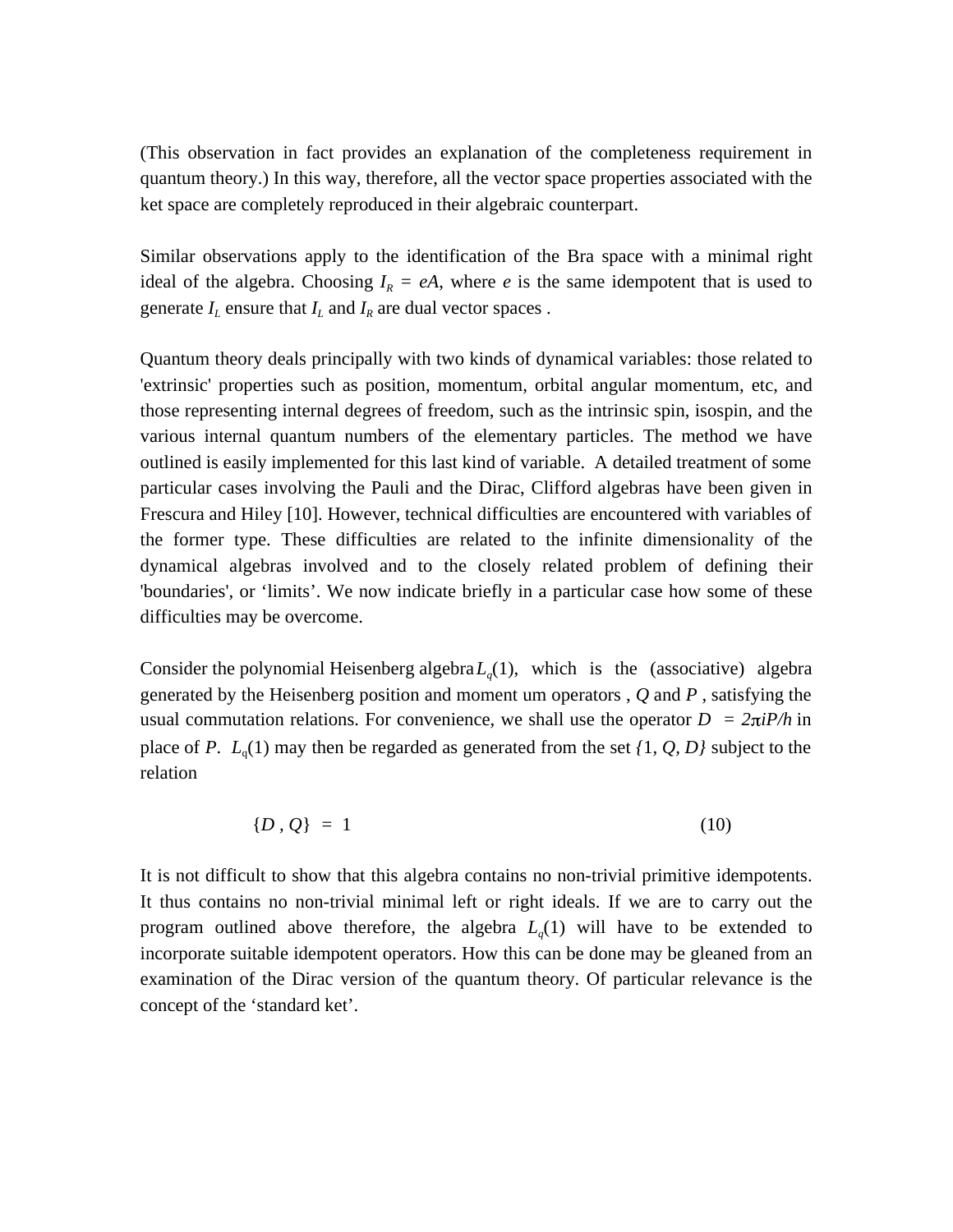(This observation in fact provides an explanation of the completeness requirement in quantum theory.) In this way, therefore, all the vector space properties associated with the ket space are completely reproduced in their algebraic counterpart.

Similar observations apply to the identification of the Bra space with a minimal right ideal of the algebra. Choosing  $I_R = eA$ , where *e* is the same idempotent that is used to generate  $I_L$  ensure that  $I_L$  and  $I_R$  are dual vector spaces .

Quantum theory deals principally with two kinds of dynamical variables: those related to 'extrinsic' properties such as position, momentum, orbital angular momentum, etc, and those representing internal degrees of freedom, such as the intrinsic spin, isospin, and the various internal quantum numbers of the elementary particles. The method we have outlined is easily implemented for this last kind of variable. A detailed treatment of some particular cases involving the Pauli and the Dirac, Clifford algebras have been given in Frescura and Hiley [10]. However, technical difficulties are encountered with variables of the former type. These difficulties are related to the infinite dimensionality of the dynamical algebras involved and to the closely related problem of defining their 'boundaries', or 'limits'. We now indicate briefly in a particular case how some of these difficulties may be overcome.

Consider the polynomial Heisenberg algebra $L_q(1)$ , which is the (associative) algebra generated by the Heisenberg position and moment um operators , *Q* and *P* , satisfying the usual commutation relations. For convenience, we shall use the operator  $D = 2\pi i P/h$  in place of *P*. *L*<sup>q</sup> (1) may then be regarded as generated from the set *{*1*, Q, D}* subject to the relation

$$
\{D\,,\,Q\}\,=\,1\tag{10}
$$

It is not difficult to show that this algebra contains no non-trivial primitive idempotents. It thus contains no non-trivial minimal left or right ideals. If we are to carry out the program outlined above therefore, the algebra  $L_q(1)$  will have to be extended to incorporate suitable idempotent operators. How this can be done may be gleaned from an examination of the Dirac version of the quantum theory. Of particular relevance is the concept of the 'standard ket'.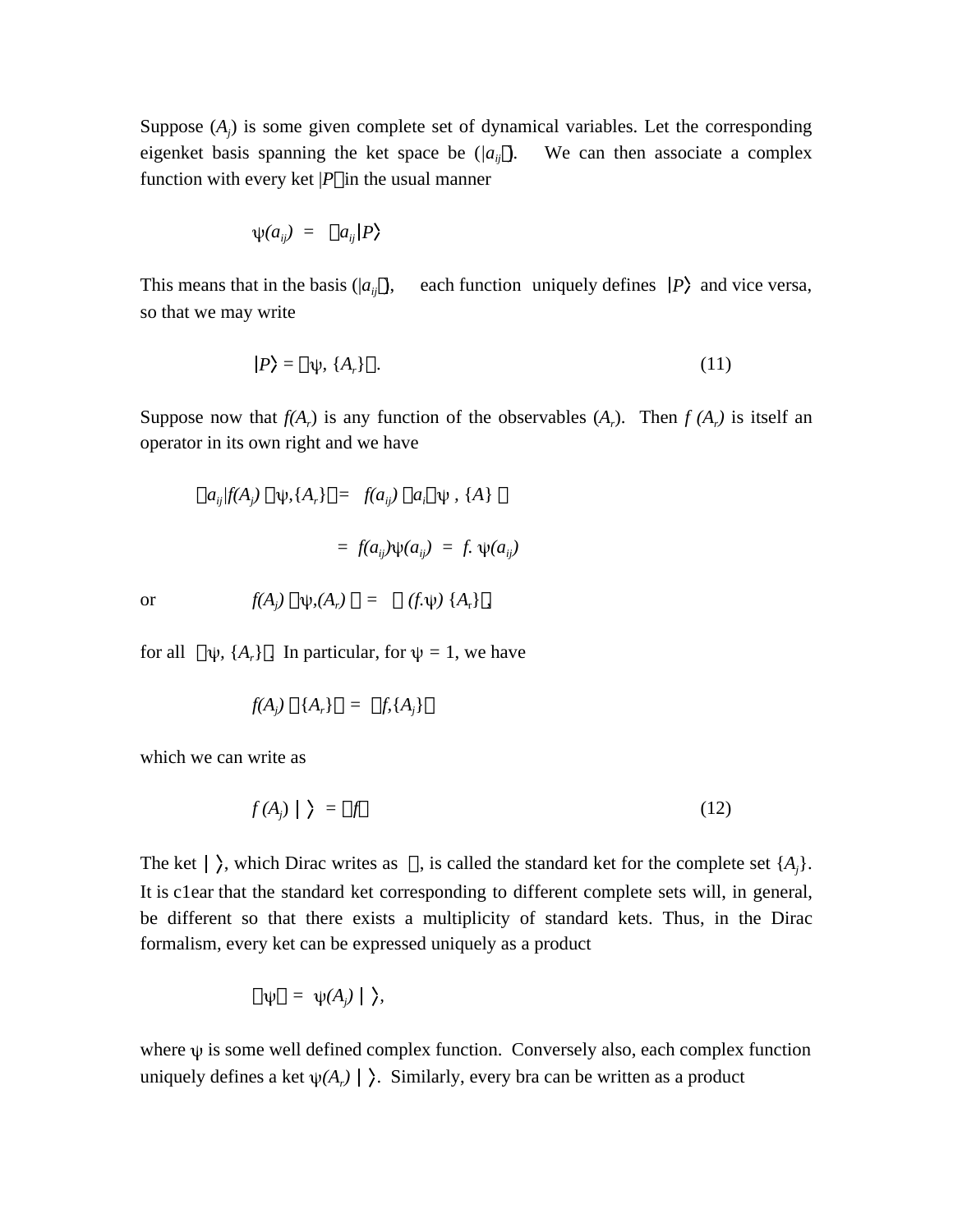Suppose  $(A_j)$  is some given complete set of dynamical variables. Let the corresponding eigenket basis spanning the ket space be  $(a_{ij})$ . We can then associate a complex function with every ket  $|P|$  in the usual manner

$$
\psi(a_{ij}) = a_{ij} | P \rangle
$$

This means that in the basis ( $|a_{ij}|$ ), each function uniquely defines  $|P\rangle$  and vice versa, so that we may write

$$
|P\rangle = \psi, \{A_r\} \tag{11}
$$

Suppose now that  $f(A_r)$  is any function of the observables  $(A_r)$ . Then  $f(A_r)$  is itself an operator in its own right and we have

$$
a_{ij}f(A_j) \quad \psi, \{A_r\} = f(a_{ij}) \quad a_i \quad \psi, \{A\}
$$
\n
$$
= f(a_{ij})\psi(a_{ij}) = f. \quad \psi(a_{ij})
$$
\n
$$
f(A) \quad \psi(A) = (f\psi) \{A\}
$$

or  $f(A_j) \psi_i(A_r) = (f \psi) \{A_r\}$ ,

for all  $\psi$ ,  $\{A_r\}$ . In particular, for  $\psi = 1$ , we have

$$
f(A_j) \quad \{A_r\} \quad = \quad f, \{A_j\}
$$

which we can write as

$$
f(A_j) \mid \, \rangle \; = \; f \tag{12}
$$

The ket  $\vert \rangle$ , which Dirac writes as , is called the standard ket for the complete set  $\{A_i\}$ . It is c1ear that the standard ket corresponding to different complete sets will, in general, be different so that there exists a multiplicity of standard kets. Thus, in the Dirac formalism, every ket can be expressed uniquely as a product

$$
\psi = \psi(A_j) \mid \ \rangle,
$$

where  $\psi$  is some well defined complex function. Conversely also, each complex function uniquely defines a ket  $\psi(A_r) \mid \Sigma$ . Similarly, every bra can be written as a product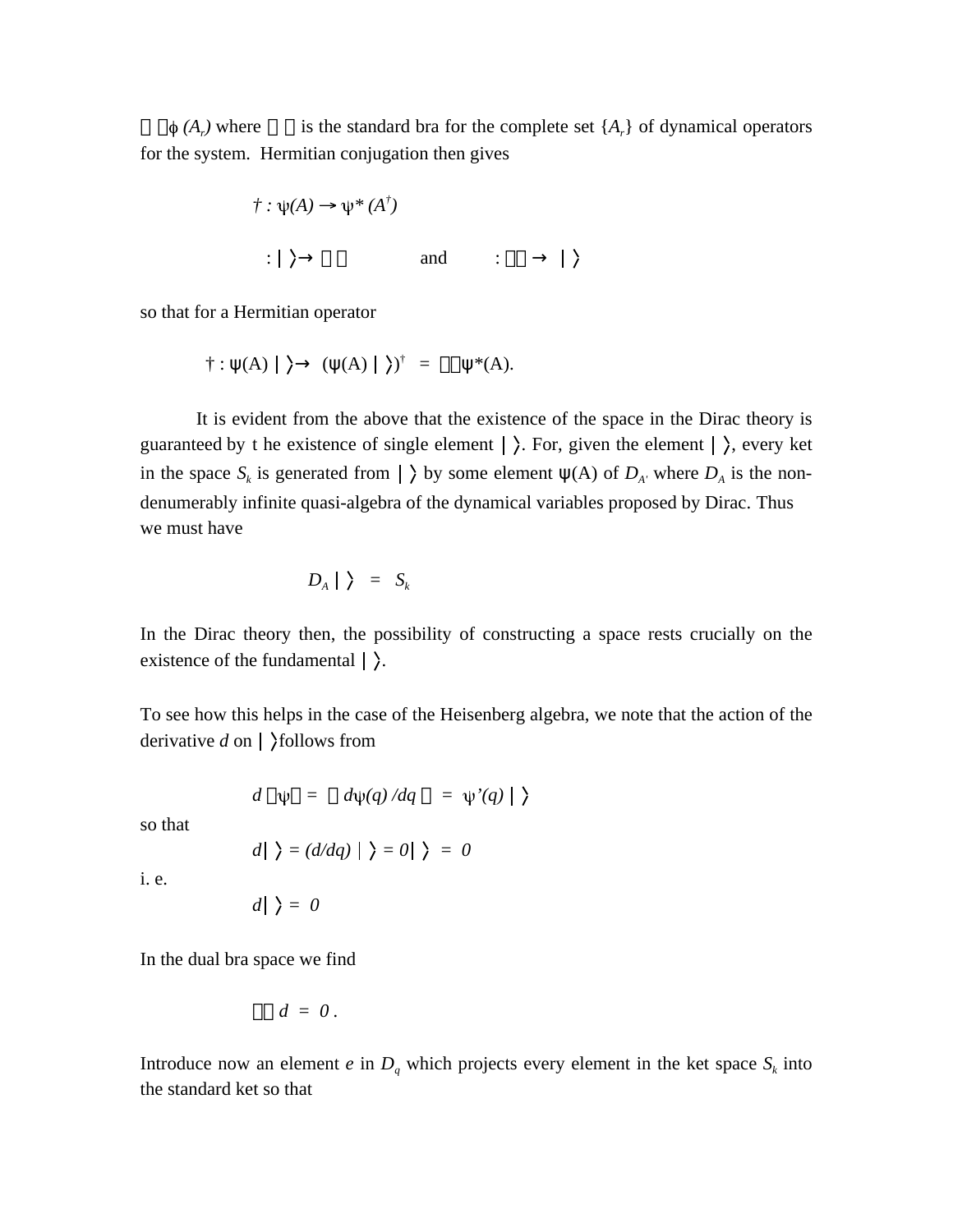$\phi$  (*A<sub>r</sub>*) where is the standard bra for the complete set  $\{A_r\}$  of dynamical operators for the system. Hermitian conjugation then gives

$$
\begin{aligned}\n\dot{\tau} : \psi(A) &\rightarrow \psi^*(A^\dagger) \\
\vdots & \downarrow \rangle \qquad \text{and} \qquad \vdots \qquad \downarrow \rangle\n\end{aligned}
$$

so that for a Hermitian operator

$$
\dagger
$$
: (A) |  $\rangle$  ( (A) |  $\rangle$ ) <sup>$\dagger$</sup>  =  $\ast$ (A).

It is evident from the above that the existence of the space in the Dirac theory is guaranteed by t he existence of single element  $| \rangle$ . For, given the element  $| \rangle$ , every ket in the space  $S_k$  is generated from  $\vert \ \rangle$  by some element (A) of  $D_{A'}$  where  $D_A$  is the nondenumerably infinite quasi-algebra of the dynamical variables proposed by Dirac. Thus we must have

$$
D_A \mid \ \rangle \ = \ S_k
$$

In the Dirac theory then, the possibility of constructing a space rests crucially on the existence of the fundamental  $|\rangle$ .

To see how this helps in the case of the Heisenberg algebra, we note that the action of the derivative  $d$  on  $\vert$   $\rangle$  follows from

$$
d \psi = d\psi(q)/dq = \psi'(q) | \}
$$

so that

$$
d|\rangle = (d/dq)|\rangle = 0|\rangle = 0
$$

i. e.

$$
d|\;\rangle = 0
$$

In the dual bra space we find

$$
d = 0.
$$

Introduce now an element *e* in  $D_q$  which projects every element in the ket space  $S_k$  into the standard ket so that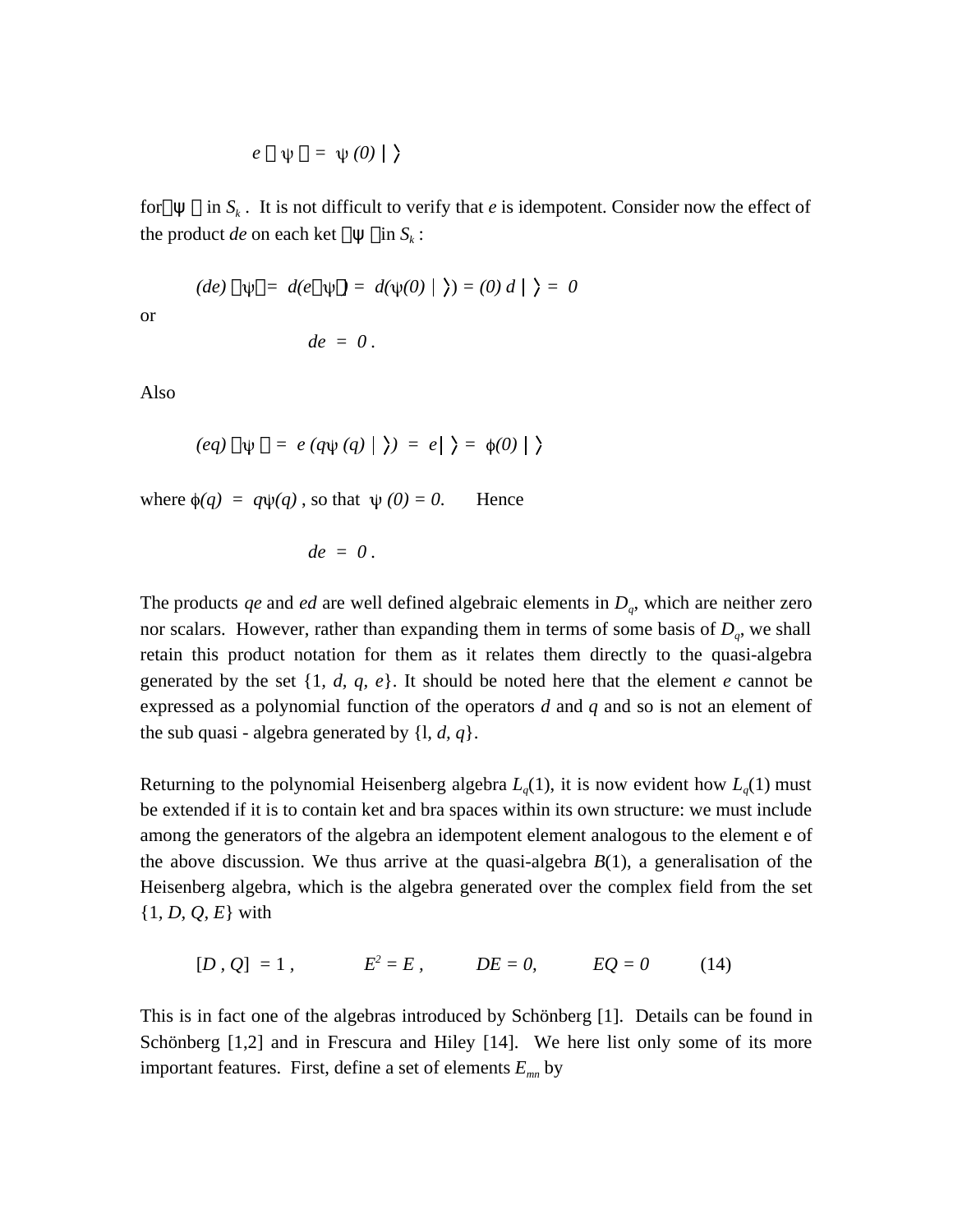$$
e \quad \psi = \psi(0) \mid
$$

for in  $S_k$ . It is not difficult to verify that *e* is idempotent. Consider now the effect of the product *de* on each ket in  $S_{\iota}$ :

(*de*) 
$$
\psi = d(e \psi) = d(\psi(0) | \xi) = (0) d | \xi = 0
$$
  
 $de = 0$ .

Also

or

$$
(eq) \psi = e(q\psi(q) | \rangle) = e | \rangle = \phi(0) | \rangle
$$

where  $\phi(q) = q\psi(q)$ , so that  $\psi(0) = 0$ . Hence

$$
de = 0.
$$

The products *qe* and *ed* are well defined algebraic elements in *D<sup>q</sup>* , which are neither zero nor scalars. However, rather than expanding them in terms of some basis of  $D_q$ , we shall retain this product notation for them as it relates them directly to the quasi-algebra generated by the set {1*, d, q, e*}. It should be noted here that the element *e* cannot be expressed as a polynomial function of the operators *d* and *q* and so is not an element of the sub quasi - algebra generated by {l*, d, q*}.

Returning to the polynomial Heisenberg algebra  $L_q(1)$ , it is now evident how  $L_q(1)$  must be extended if it is to contain ket and bra spaces within its own structure: we must include among the generators of the algebra an idempotent element analogous to the element e of the above discussion. We thus arrive at the quasi-algebra *B*(1), a generalisation of the Heisenberg algebra, which is the algebra generated over the complex field from the set {1*, D, Q, E*} with

$$
[D, Q] = 1
$$
,  $E^2 = E$ ,  $DE = 0$ ,  $EQ = 0$  (14)

This is in fact one of the algebras introduced by Schönberg [1]. Details can be found in Schönberg [1,2] and in Frescura and Hiley [14]. We here list only some of its more important features. First, define a set of elements *Emn* by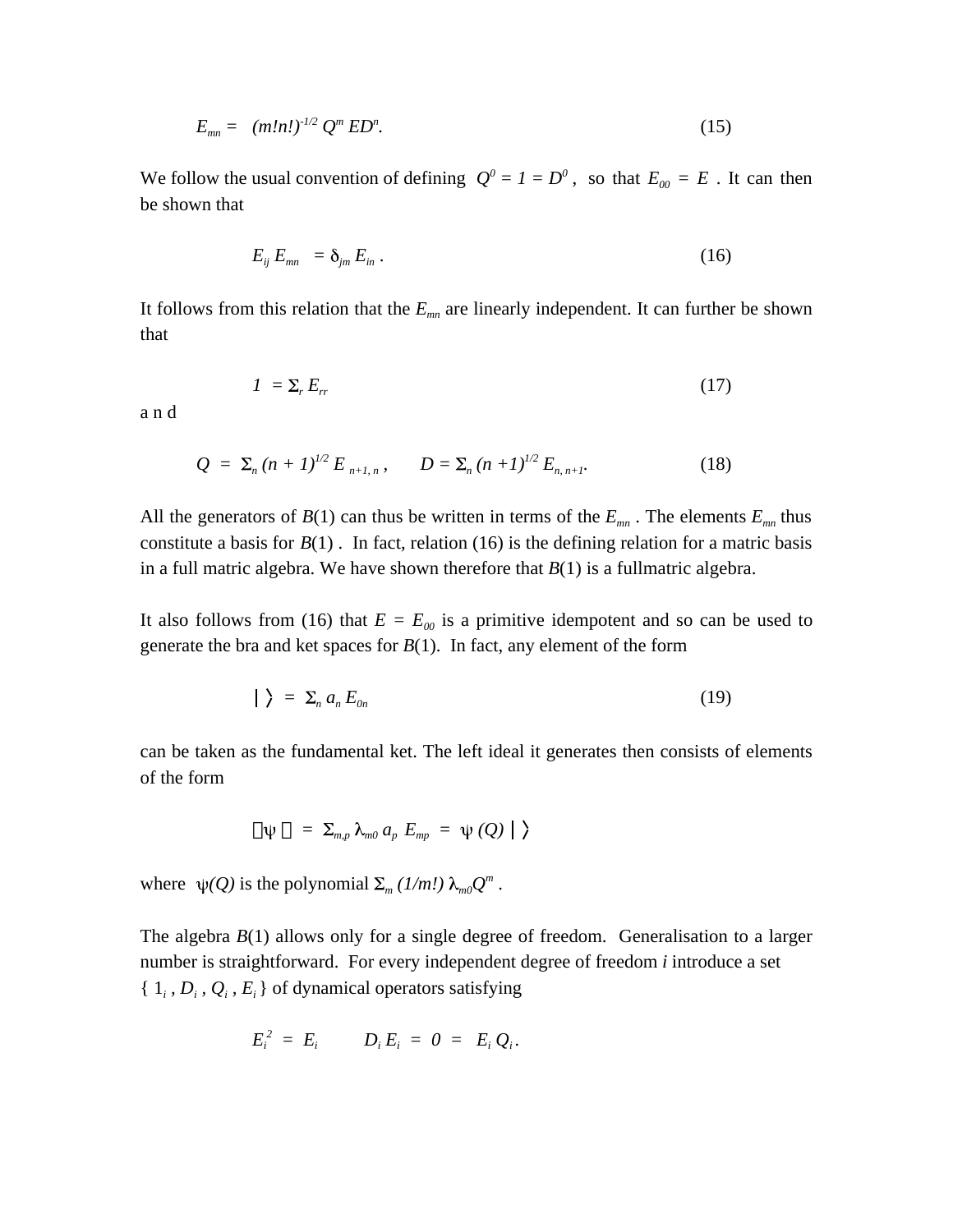$$
E_{mn} = (m!n!)^{1/2} Q^m E D^n. \tag{15}
$$

We follow the usual convention of defining  $Q^0 = I = D^0$ , so that  $E_{00} = E$ . It can then be shown that

$$
E_{ij} E_{mn} = \delta_{jm} E_{in} . \qquad (16)
$$

It follows from this relation that the *Emn* are linearly independent. It can further be shown that

$$
I = \Sigma_r E_r \tag{17}
$$

a n d

$$
Q = \sum_{n} (n+1)^{1/2} E_{n+1,n}, \qquad D = \sum_{n} (n+1)^{1/2} E_{n,n+1}.
$$
 (18)

All the generators of  $B(1)$  can thus be written in terms of the  $E_{mn}$ . The elements  $E_{mn}$  thus constitute a basis for  $B(1)$ . In fact, relation (16) is the defining relation for a matric basis in a full matric algebra. We have shown therefore that  $B(1)$  is a fullmatric algebra.

It also follows from (16) that  $E = E_{00}$  is a primitive idempotent and so can be used to generate the bra and ket spaces for  $B(1)$ . In fact, any element of the form

$$
|\rangle = \Sigma_n a_n E_{0n} \tag{19}
$$

can be taken as the fundamental ket. The left ideal it generates then consists of elements of the form

$$
\psi = \sum_{m,p} \lambda_{m0} a_p E_{mp} = \psi(Q) | \rangle
$$

where  $\psi(Q)$  is the polynomial  $\Sigma_m (1/m!) \lambda_{m0} Q^m$ .

The algebra  $B(1)$  allows only for a single degree of freedom. Generalisation to a larger number is straightforward. For every independent degree of freedom *i* introduce a set  $\{1_i, D_i, Q_i, E_i\}$  of dynamical operators satisfying

$$
E_i^2 = E_i \qquad D_i E_i = 0 = E_i Q_i.
$$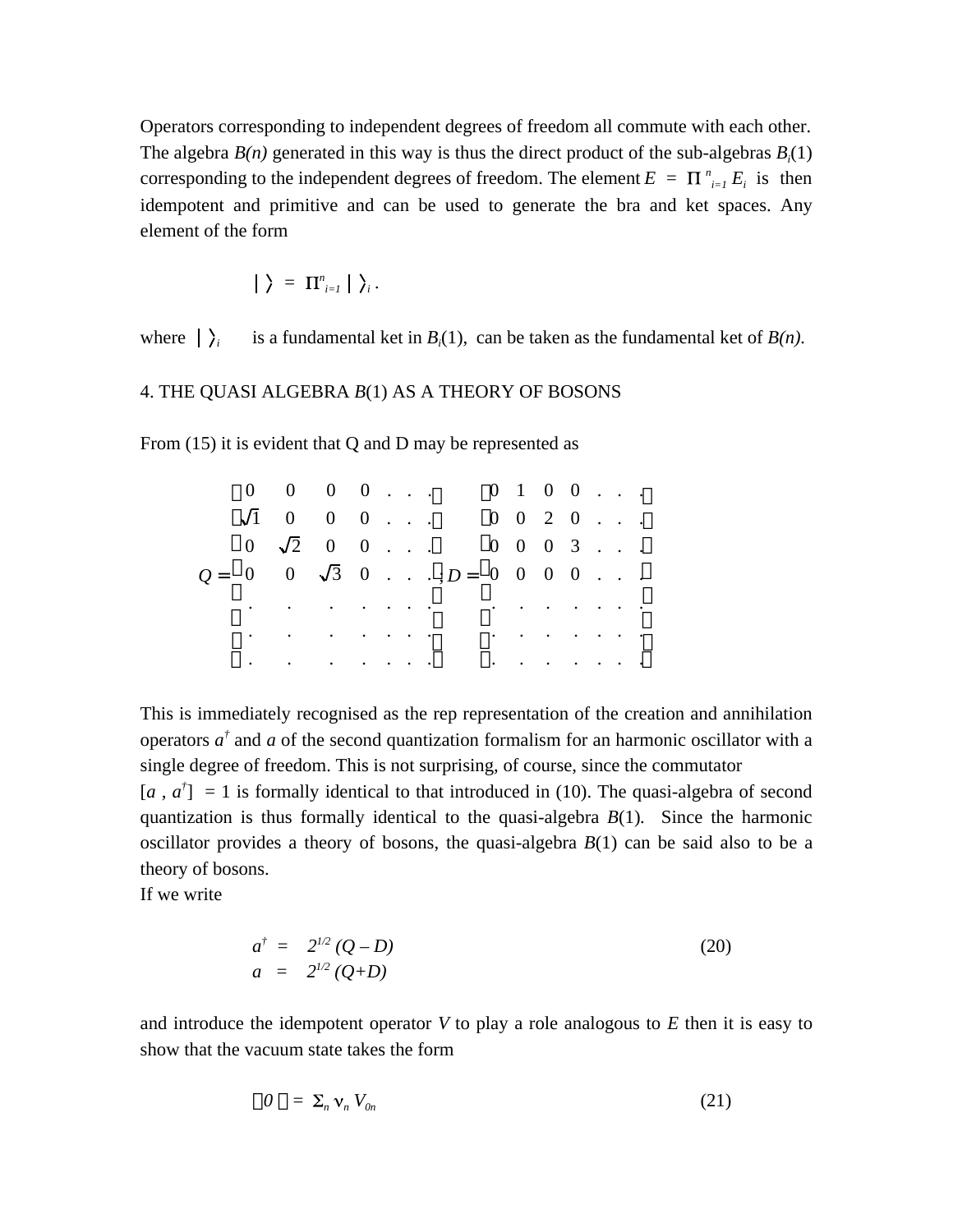Operators corresponding to independent degrees of freedom all commute with each other. The algebra  $B(n)$  generated in this way is thus the direct product of the sub-algebras  $B_i(1)$ corresponding to the independent degrees of freedom. The element  $E = \prod_{i=1}^{n} E_i$  is then idempotent and primitive and can be used to generate the bra and ket spaces. Any element of the form

$$
|\rangle = \Pi_{i=1}^n |\rangle_i.
$$

where  $|\rangle_i$ is a fundamental ket in  $B_i(1)$ , can be taken as the fundamental ket of  $B(n)$ .

## 4. THE QUASI ALGEBRA *B*(1) AS A THEORY OF BOSONS

From (15) it is evident that Q and D may be represented as

|  | $0 \quad 0 \quad 0 \quad 0 \quad \ldots$                                                                                              |  |  |                                                                                                                                                                                                                                | $0 \t1 \t0 \t0 \t$                                                                              |  |  |  |
|--|---------------------------------------------------------------------------------------------------------------------------------------|--|--|--------------------------------------------------------------------------------------------------------------------------------------------------------------------------------------------------------------------------------|-------------------------------------------------------------------------------------------------|--|--|--|
|  | $\sqrt{1}$ 0 0 0                                                                                                                      |  |  |                                                                                                                                                                                                                                | $0 \t 0 \t 2 \t 0 \t \ldots$                                                                    |  |  |  |
|  | $0 \sqrt{2} 0 0 \ldots$                                                                                                               |  |  |                                                                                                                                                                                                                                | $0 \t 0 \t 0 \t 3 \t $                                                                          |  |  |  |
|  |                                                                                                                                       |  |  | $Q = \begin{bmatrix} 0 & 0 & \sqrt{3} & 0 & \ldots & \cdots \\ 0 & 0 & 0 & \cdots & 0 \end{bmatrix}$                                                                                                                           |                                                                                                 |  |  |  |
|  | $\mathbf{r}^{\prime}$ , and $\mathbf{r}^{\prime}$ , and $\mathbf{r}^{\prime}$ , and $\mathbf{r}^{\prime}$ , and $\mathbf{r}^{\prime}$ |  |  |                                                                                                                                                                                                                                | $\mathbf{r} = \mathbf{r} \times \mathbf{r}$ , where $\mathbf{r} = \mathbf{r} \times \mathbf{r}$ |  |  |  |
|  |                                                                                                                                       |  |  | and the contract of the contract of the contract of the contract of the contract of the contract of the contract of the contract of the contract of the contract of the contract of the contract of the contract of the contra |                                                                                                 |  |  |  |
|  | and the contract of the contract of the                                                                                               |  |  |                                                                                                                                                                                                                                | $\mathbf{r} = \mathbf{r} + \mathbf{r} + \mathbf{r} + \mathbf{r} + \mathbf{r} + \mathbf{r}$      |  |  |  |

This is immediately recognised as the rep representation of the creation and annihilation operators  $a^{\dagger}$  and *a* of the second quantization formalism for an harmonic oscillator with a single degree of freedom. This is not surprising, of course, since the commutator

 $[a, a^{\dagger}] = 1$  is formally identical to that introduced in (10). The quasi-algebra of second quantization is thus formally identical to the quasi-algebra *B*(1)*.* Since the harmonic oscillator provides a theory of bosons, the quasi-algebra *B*(1) can be said also to be a theory of bosons.

If we write

$$
a^{\dagger} = 2^{1/2} (Q - D) a = 2^{1/2} (Q + D)
$$
 (20)

and introduce the idempotent operator *V* to play a role analogous to *E* then it is easy to show that the vacuum state takes the form

$$
0 = \sum_{n} \mathbf{V}_n V_{0n} \tag{21}
$$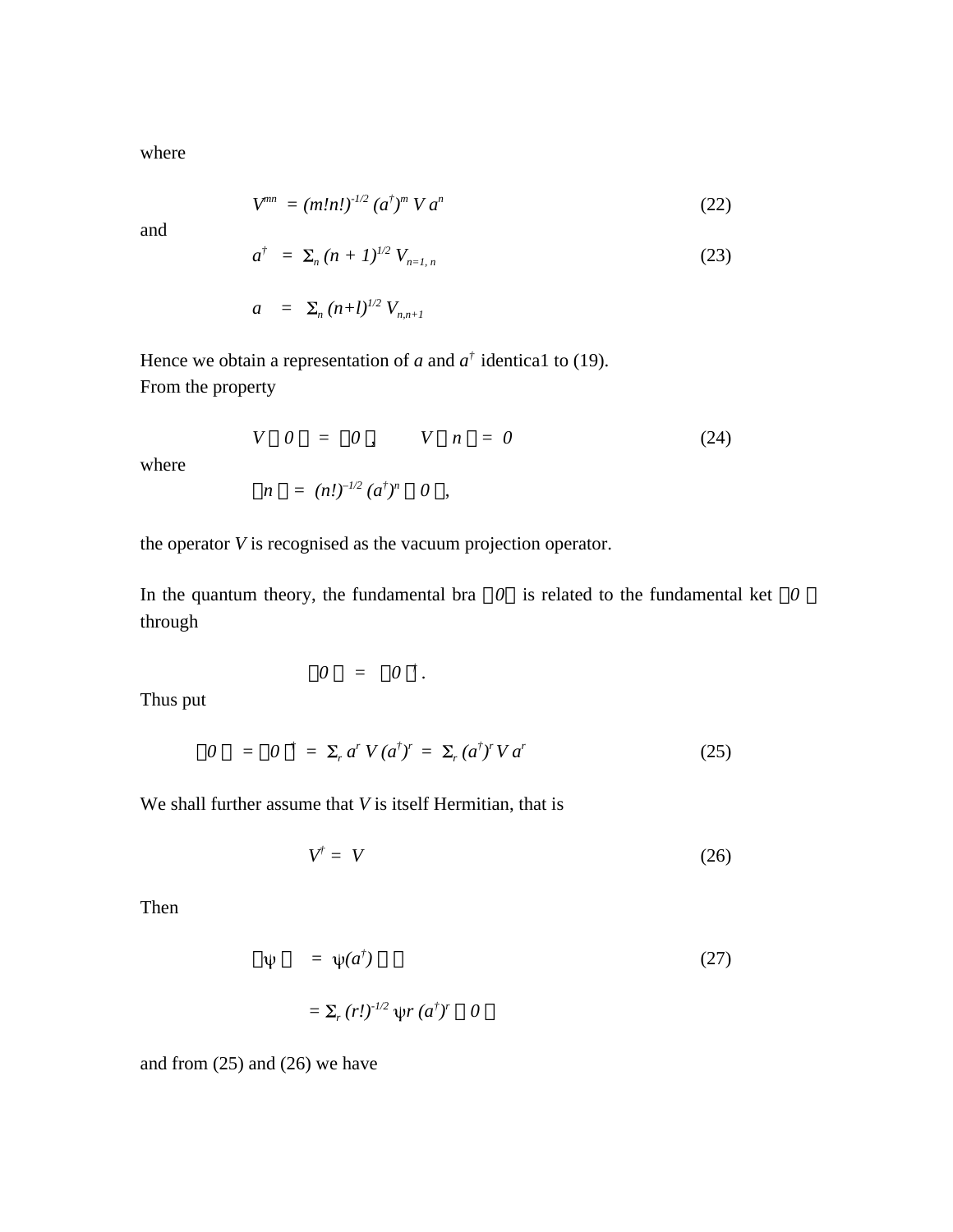where

$$
V^{mn} = (m!n!)^{1/2} (a^{\dagger})^m V a^n
$$
 (22)

and

$$
a^{\dagger} = \Sigma_n (n+1)^{1/2} V_{n=1,n} \tag{23}
$$

$$
a = \sum_{n} (n+l)^{1/2} V_{n,n+l}
$$

Hence we obtain a representation of *a* and  $a^{\dagger}$  identical to (19). From the property

$$
V \quad 0 = 0 , \qquad V \quad n = 0 \tag{24}
$$

where

$$
n = (n!)^{-1/2} (a^{\dagger})^n \quad 0 \quad ,
$$

the operator *V* is recognised as the vacuum projection operator.

In the quantum theory, the fundamental bra *0* is related to the fundamental ket *0*  through

$$
0 = 0^{\dagger}.
$$

Thus put

$$
0 = 0^{\dagger} = \Sigma_r a^r V(a^{\dagger})^r = \Sigma_r (a^{\dagger})^r V a^r \qquad (25)
$$

We shall further assume that *V* is itself Hermitian, that is

$$
V^{\dagger} = V \tag{26}
$$

Then

$$
\Psi = \Psi(a^{\dagger})
$$
\n
$$
= \Sigma_r (r!)^{1/2} \Psi(r(a^{\dagger})^r) 0
$$
\n(27)

and from (25) and (26) we have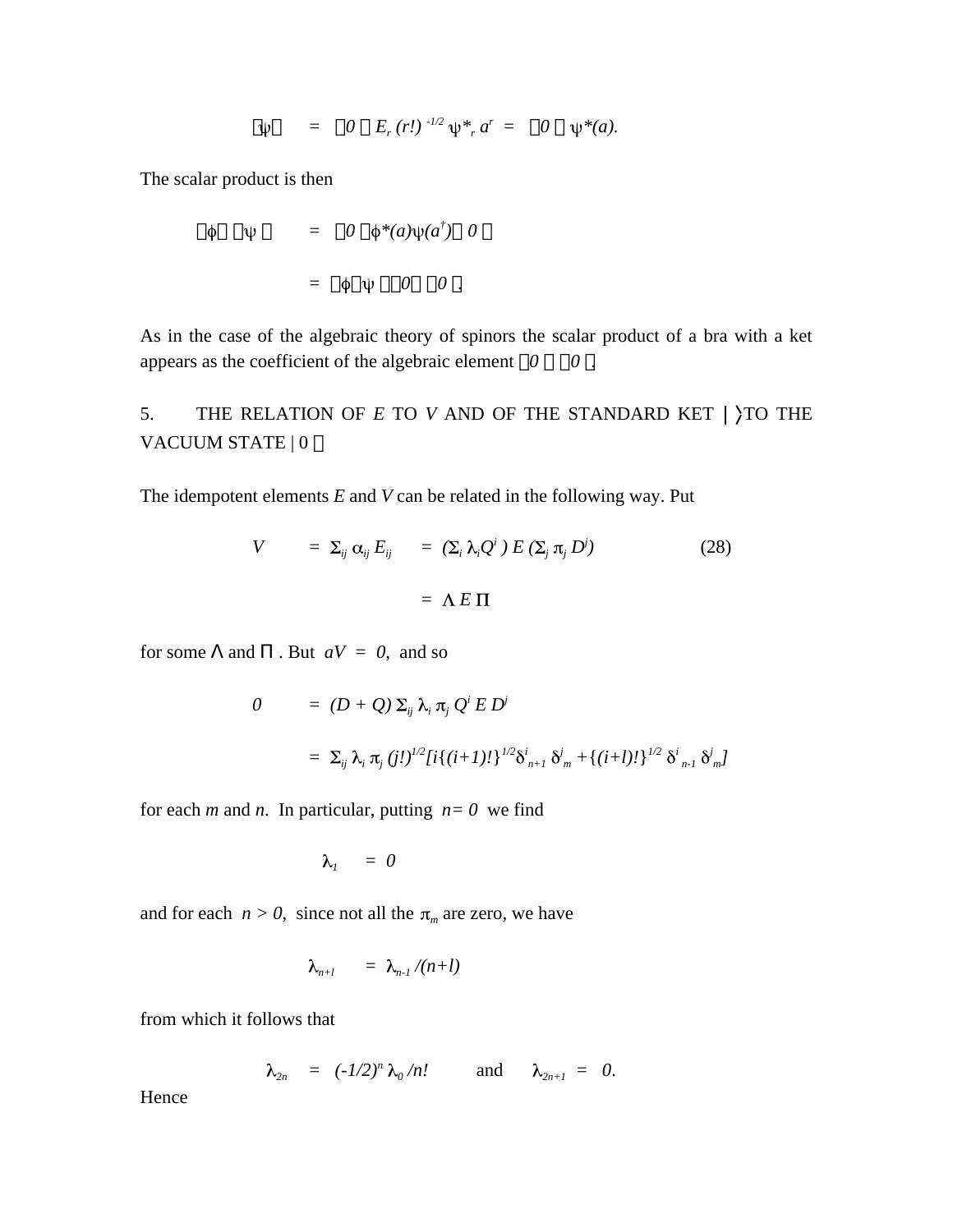$$
\psi = 0 \quad E_r(r!)^{-1/2} \psi^*_{r} a^r = 0 \quad \psi^*(a).
$$

The scalar product is then

$$
\begin{array}{rcl}\n\phi & \psi & = & 0 \quad \phi^*(a)\psi(a^\dagger) & 0 \\
& = & \phi \quad \psi & 0 & 0 \end{array}.
$$

As in the case of the algebraic theory of spinors the scalar product of a bra with a ket appears as the coefficient of the algebraic element  $\theta$  0.

# 5. THE RELATION OF  $E$  TO  $V$  AND OF THE STANDARD KET  $\vert$   $\rangle$ TO THE VACUUM STATE | 0

The idempotent elements *E* and *V* can be related in the following way. Put

$$
V = \Sigma_{ij} \alpha_{ij} E_{ij} = (\Sigma_i \lambda_i Q^i) E (\Sigma_j \pi_j D^j)
$$
\n
$$
= \Lambda E \Pi
$$
\n(28)

for some and . But  $aV = 0$ , and so

$$
0 = (D + Q) \Sigma_{ij} \lambda_i \pi_j Q^i E D^j
$$
  
=  $\Sigma_{ij} \lambda_i \pi_j (j!)^{1/2} [i \{ (i+1)! \}^{1/2} \delta^i_{n+1} \delta^j_{m} + \{ (i+1)! \}^{1/2} \delta^i_{n-1} \delta^j_{m}]$ 

for each *m* and *n*. In particular, putting  $n=0$  we find

$$
\lambda_{1} = 0
$$

and for each  $n > 0$ , since not all the  $\pi_m$  are zero, we have

$$
\lambda_{n+l} = \lambda_{n-l}/(n+l)
$$

from which it follows that

$$
\lambda_{2n} = (-1/2)^n \lambda_0/n! \quad \text{and} \quad \lambda_{2n+1} = 0.
$$

Hence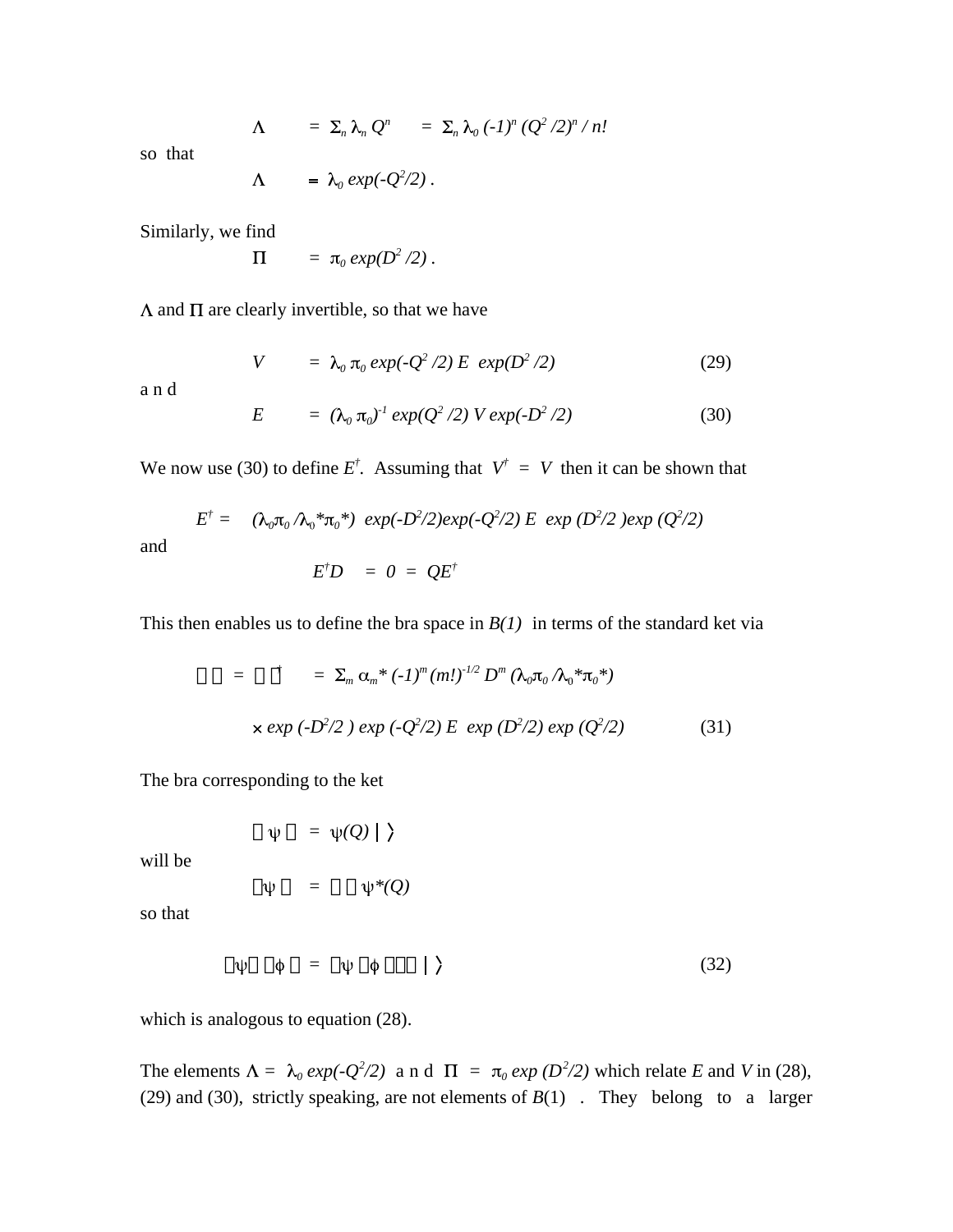$$
\Lambda = \Sigma_n \lambda_n Q^n = \Sigma_n \lambda_0 (-1)^n (Q^2 / 2)^n / n!
$$

so that

$$
\Lambda = \lambda_0 \exp(-Q^2/2).
$$

Similarly, we find

$$
\Pi = \pi_0 \exp(D^2/2).
$$

 $\Lambda$  and  $\Pi$  are clearly invertible, so that we have

$$
V = \lambda_0 \pi_0 \exp(-Q^2/2) E \exp(D^2/2)
$$
 (29)

a n d

and

$$
E = (\lambda_0 \pi_0)^T \exp(Q^2/2) V \exp(-D^2/2)
$$
 (30)

We now use (30) to define  $E^{\dagger}$ . Assuming that  $V^{\dagger} = V$  then it can be shown that

$$
E^{\dagger} = (\lambda_0 \pi_0 / \lambda_0 * \pi_0 * ) \exp(-D^2/2) exp(-Q^2/2) E \exp(D^2/2) exp(Q^2/2)
$$

$$
E^{\dagger}D = 0 = QE^{\dagger}
$$

This then enables us to define the bra space in  $B(1)$  in terms of the standard ket via

$$
= \sum_{m} \alpha_{m}^{*} (-1)^{m} (m!)^{1/2} D^{m} (\lambda_{0} \pi_{0} \Lambda_{0}^{*} \pi_{0}^{*})
$$
  
× exp (-D<sup>2</sup>/2) exp (-Q<sup>2</sup>/2) E exp (D<sup>2</sup>/2) exp (Q<sup>2</sup>/2) (31)

The bra corresponding to the ket

$$
\psi \quad = \; \psi(Q) \mid \; \rangle
$$

will be

$$
\psi = \psi^*(Q)
$$

so that

$$
\psi \quad \phi \quad = \quad \psi \quad \phi \qquad | \qquad \rangle \tag{32}
$$

which is analogous to equation  $(28)$ .

The elements  $\Lambda = \lambda_0 \exp(-Q^2/2)$  and  $\Pi = \pi_0 \exp(D^2/2)$  which relate *E* and *V* in (28), (29) and (30), strictly speaking, are not elements of *B*(1) . They belong to a larger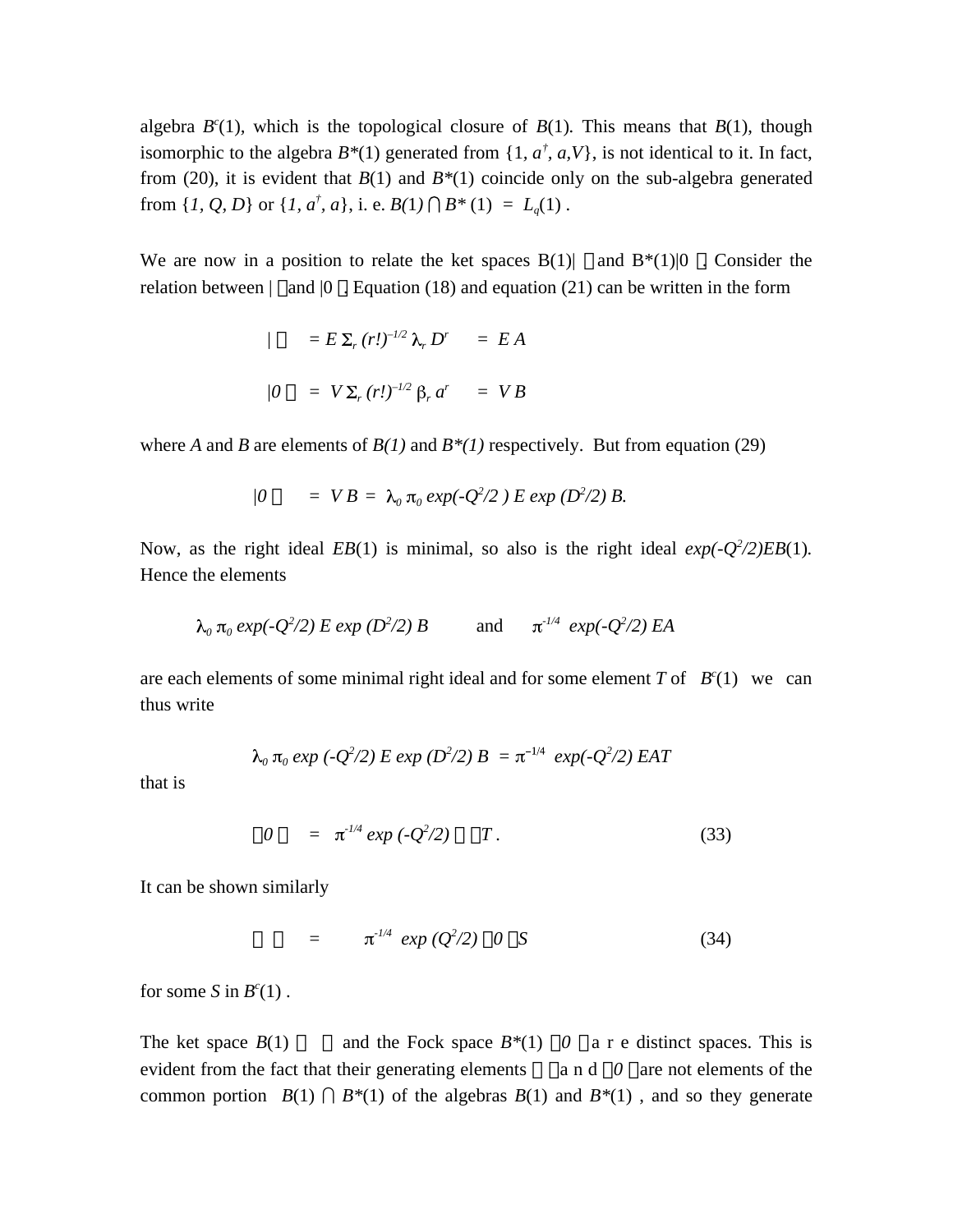algebra  $B^{c}(1)$ , which is the topological closure of  $B(1)$ . This means that  $B(1)$ , though isomorphic to the algebra  $B^*(1)$  generated from  $\{1, a^{\dagger}, a, V\}$ , is not identical to it. In fact, from (20), it is evident that *B*(1) and *B\**(1) coincide only on the sub-algebra generated from  $\{I, Q, D\}$  or  $\{I, a^{\dagger}, a\}$ , i. e.  $B(1) \cap B^*(1) = L_q(1)$ .

We are now in a position to relate the ket spaces  $B(1)$  and  $B^*(1)|0$ . Consider the relation between  $\vert$  and  $\vert$ 0 . Equation (18) and equation (21) can be written in the form

$$
/ = E \Sigma_r (r!)^{-1/2} \lambda_r D^r = EA
$$
  

$$
/0 = V \Sigma_r (r!)^{-1/2} \beta_r a^r = VB
$$

where *A* and *B* are elements of  $B(1)$  and  $B*(1)$  respectively. But from equation (29)

$$
/0 = VB = \lambda_0 \pi_0 exp(-Q^2/2) E exp(D^2/2) B.
$$

Now, as the right ideal  $EB(1)$  is minimal, so also is the right ideal  $exp(-Q^2/2)EB(1)$ *.* Hence the elements

$$
\lambda_0 \pi_0 \exp(-Q^2/2) E \exp(D^2/2) B
$$
 and  $\pi^{1/4} \exp(-Q^2/2) EA$ 

are each elements of some minimal right ideal and for some element  $T$  of  $B<sup>c</sup>(1)$  we can thus write

$$
\lambda_0 \pi_0 \exp(-Q^2/2) E \exp(D^2/2) B = \pi^{-1/4} \exp(-Q^2/2) EAT
$$

that is

$$
0 = \pi^{1/4} \exp(-Q^2/2) \qquad T. \tag{33}
$$

It can be shown similarly

$$
= \pi^{1/4} \exp(Q^2/2) \quad 0 \quad S \tag{34}
$$

for some *S* in  $B^c(1)$ .

The ket space  $B(1)$  and the Fock space  $B^*(1)$  0 a r e distinct spaces. This is evident from the fact that their generating elements a n d *0* are not elements of the common portion  $B(1) \cap B^*(1)$  of the algebras  $B(1)$  and  $B^*(1)$ , and so they generate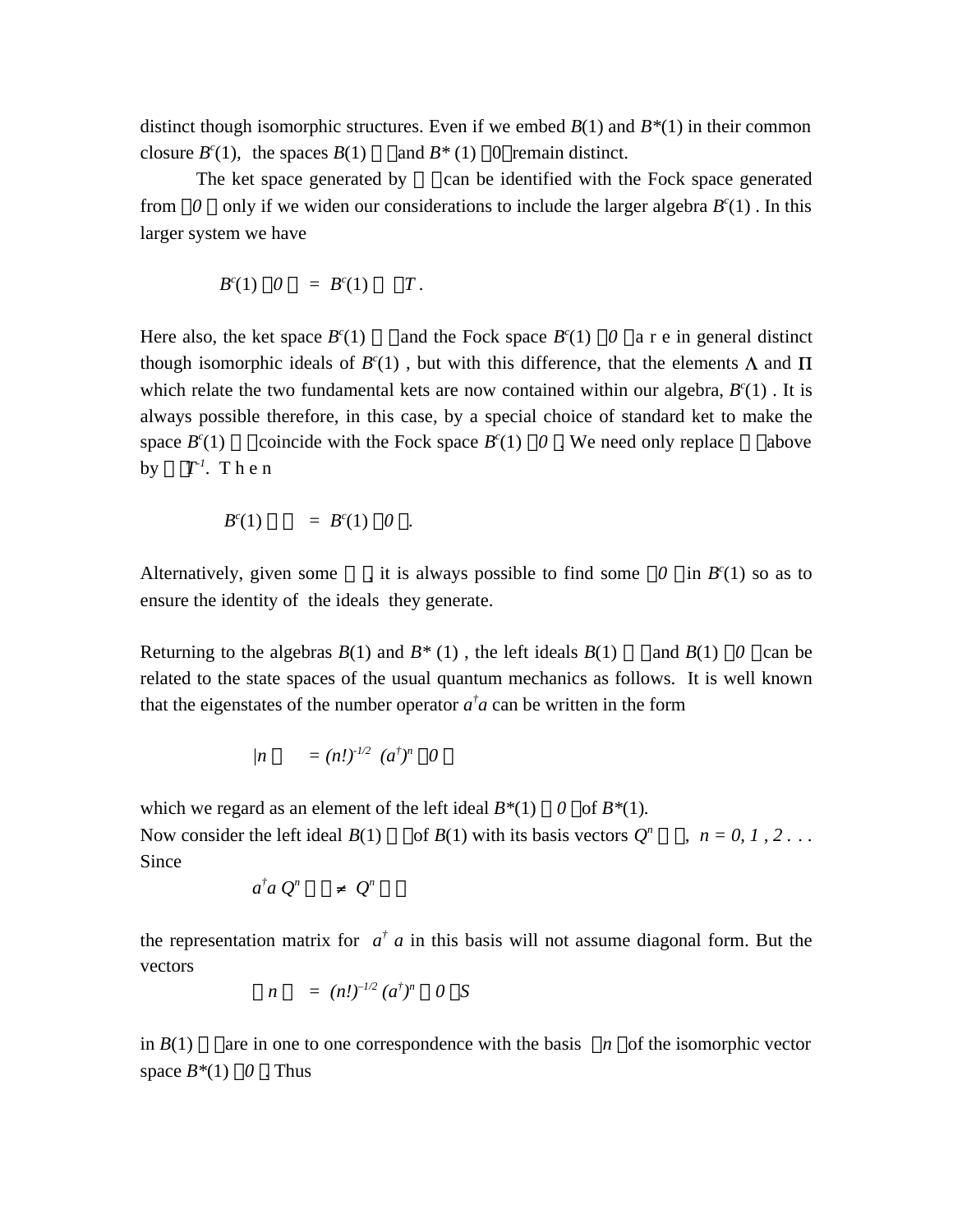distinct though isomorphic structures. Even if we embed *B*(1) and *B\**(1) in their common closure *B c* and  $B^*(1)$  0 remain distinct.

The ket space generated by can be identified with the Fock space generated from 0 only if we widen our considerations to include the larger algebra  $B<sup>c</sup>(1)$ . In this larger system we have

$$
B^c(1) \quad 0 \quad = \ B^c(1) \qquad T.
$$

Here also, the ket space  $B^{c}(1)$  and the Fock space  $B^{c}(1)$  0 a r e in general distinct though isomorphic ideals of  $B<sup>c</sup>(1)$ , but with this difference, that the elements  $\Lambda$  and which relate the two fundamental kets are now contained within our algebra,  $B<sup>c</sup>(1)$ . It is always possible therefore, in this case, by a special choice of standard ket to make the space *B c* (1) coincide with the Fock space  $B^{c}(1)$  0. We need only replace above by  $T^{\perp}$ . Then

$$
B^{c}(1) = B^{c}(1) 0.
$$

Alternatively, given some , it is always possible to find some  $0$  in  $B<sup>c</sup>(1)$  so as to ensure the identity of the ideals they generate.

Returning to the algebras  $B(1)$  and  $B^*(1)$ , the left ideals  $B(1)$  and  $B(1)$  0 can be related to the state spaces of the usual quantum mechanics as follows. It is well known that the eigenstates of the number operator  $a^{\dagger}a$  can be written in the form

$$
/n = (n!)^{1/2} (a^{\dagger})^n 0
$$

which we regard as an element of the left ideal  $B^*(1)$  0 of  $B^*(1)$ *.* 

Now consider the left ideal  $B(1)$  of  $B(1)$  with its basis vectors  $Q^n$ ,  $n = 0, 1, 2...$ Since

$$
a^{\dagger} a \ Q^n \qquad \neq \ Q^n
$$

the representation matrix for  $a^{\dagger}$  *a* in this basis will not assume diagonal form. But the vectors

$$
n = (n!)^{-1/2} (a^{\dagger})^n
$$
 0 S

in  $B(1)$  are in one to one correspondence with the basis *n* of the isomorphic vector space  $B^*(1)$  0. Thus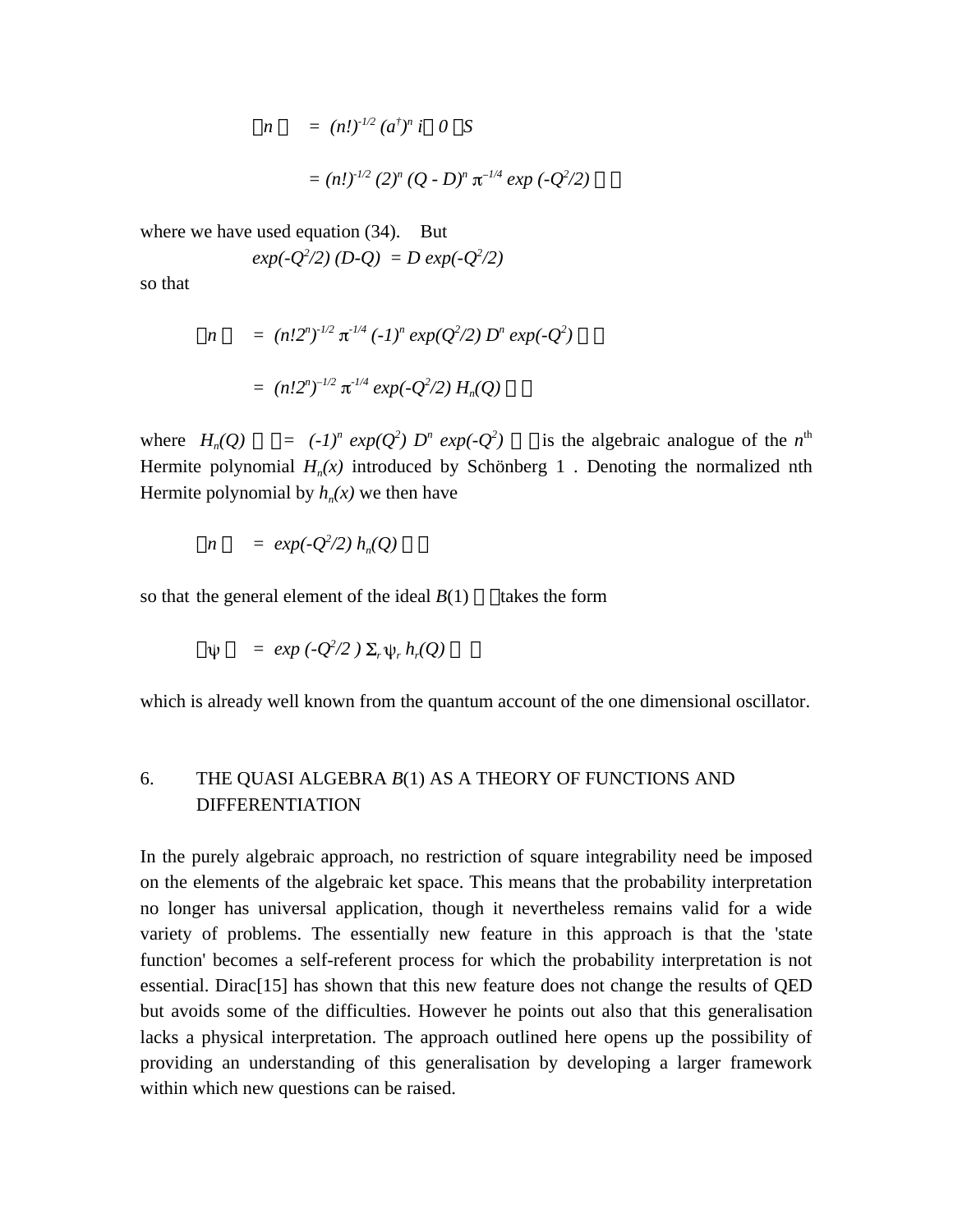$$
n = (n!)^{1/2} (a^{\dagger})^n i \quad 0 \quad S
$$
  
=  $(n!)^{1/2} (2)^n (Q - D)^n \pi^{-1/4} \exp(-Q^2/2)$ 

where we have used equation (34). But

$$
exp(-Q^2/2)(D-Q) = D exp(-Q^2/2)
$$

so that

$$
n = (n!2^n)^{-1/2} \pi^{1/4} (-1)^n \exp(Q^2/2) D^n \exp(-Q^2)
$$
  
=  $(n!2^n)^{-1/2} \pi^{1/4} \exp(-Q^2/2) H_n(Q)$ 

where  $H_n(Q) = (-1)^n exp(Q^2) D^n exp(-Q^2)$ *i* is the algebraic analogue of the  $n^{\text{th}}$ Hermite polynomial *H<sup>n</sup> (x)* introduced by Schönberg 1 . Denoting the normalized nth Hermite polynomial by  $h_n(x)$  we then have

$$
n = exp(-Q^2/2) h_n(Q)
$$

so that the general element of the ideal  $B(1)$  takes the form

$$
\psi = exp(-Q^2/2) \Sigma_r \psi_r h_r(Q)
$$

which is already well known from the quantum account of the one dimensional oscillator.

# 6. THE QUASI ALGEBRA *B*(1) AS A THEORY OF FUNCTIONS AND DIFFERENTIATION

In the purely algebraic approach, no restriction of square integrability need be imposed on the elements of the algebraic ket space. This means that the probability interpretation no longer has universal application, though it nevertheless remains valid for a wide variety of problems. The essentially new feature in this approach is that the 'state function' becomes a self-referent process for which the probability interpretation is not essential. Dirac[15] has shown that this new feature does not change the results of QED but avoids some of the difficulties. However he points out also that this generalisation lacks a physical interpretation. The approach outlined here opens up the possibility of providing an understanding of this generalisation by developing a larger framework within which new questions can be raised.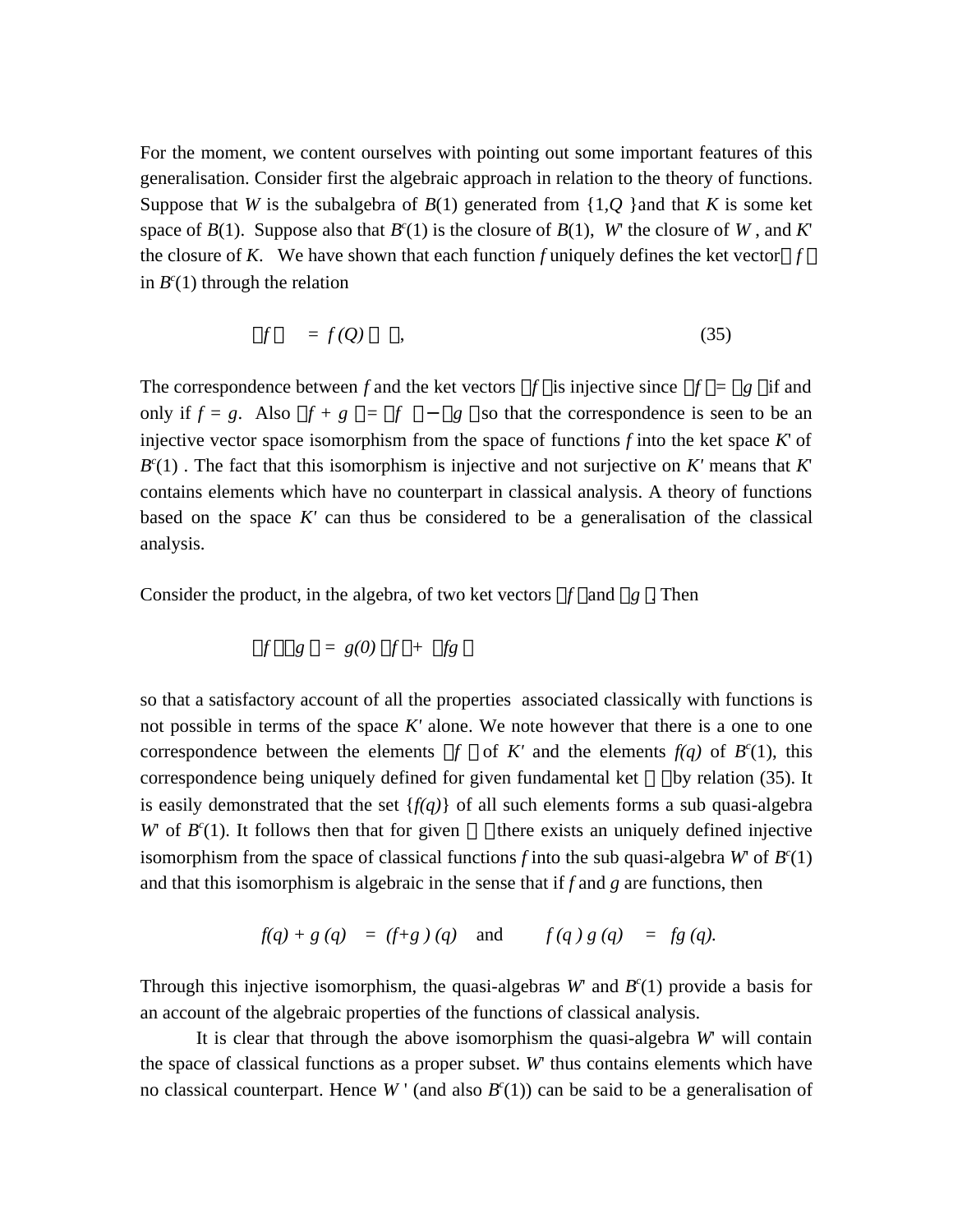For the moment, we content ourselves with pointing out some important features of this generalisation. Consider first the algebraic approach in relation to the theory of functions. Suppose that *W* is the subalgebra of  $B(1)$  generated from  $\{1, Q\}$  and that *K* is some ket space of  $B(1)$ . Suppose also that  $B^{c}(1)$  is the closure of  $B(1)$ , *W*' the closure of *W*, and *K*' the closure of *K*. We have shown that each function *f* uniquely defines the ket vector *f* in  $B<sup>c</sup>(1)$  through the relation

$$
f = f(Q) \tag{35}
$$

The correspondence between *f* and the ket vectors  $f$  is injective since  $f = g$  if and only if  $f = g$ . Also  $f + g = f - g$  so that the correspondence is seen to be an injective vector space isomorphism from the space of functions *f* into the ket space *K*' of  $B<sup>c</sup>(1)$ . The fact that this isomorphism is injective and not surjective on *K'* means that *K'* contains elements which have no counterpart in classical analysis. A theory of functions based on the space *K'* can thus be considered to be a generalisation of the classical analysis.

Consider the product, in the algebra, of two ket vectors *f* and *g* . Then

$$
f \quad g \quad = \quad g(0) \quad f \quad + \quad fg
$$

so that a satisfactory account of all the properties associated classically with functions is not possible in terms of the space *K'* alone. We note however that there is a one to one correspondence between the elements  $f$  of  $K'$  and the elements  $f(q)$  of  $B^{c}(1)$ , this correspondence being uniquely defined for given fundamental ket by relation (35). It is easily demonstrated that the set  $\{f(q)\}\$  of all such elements forms a sub quasi-algebra *W*' of *B c* there exists an uniquely defined injective isomorphism from the space of classical functions *f* into the sub quasi-algebra *W* of  $B^{c}(1)$ and that this isomorphism is algebraic in the sense that if *f* and *g* are functions, then

$$
f(q) + g(q) = (f+g)(q)
$$
 and  $f(q)g(q) = fg(q)$ .

Through this injective isomorphism, the quasi-algebras  $W$  and  $B<sup>c</sup>(1)$  provide a basis for an account of the algebraic properties of the functions of classical analysis.

It is clear that through the above isomorphism the quasi-algebra *W*' will contain the space of classical functions as a proper subset. *W*' thus contains elements which have no classical counterpart. Hence  $W'$  (and also  $B<sup>c</sup>(1)$ ) can be said to be a generalisation of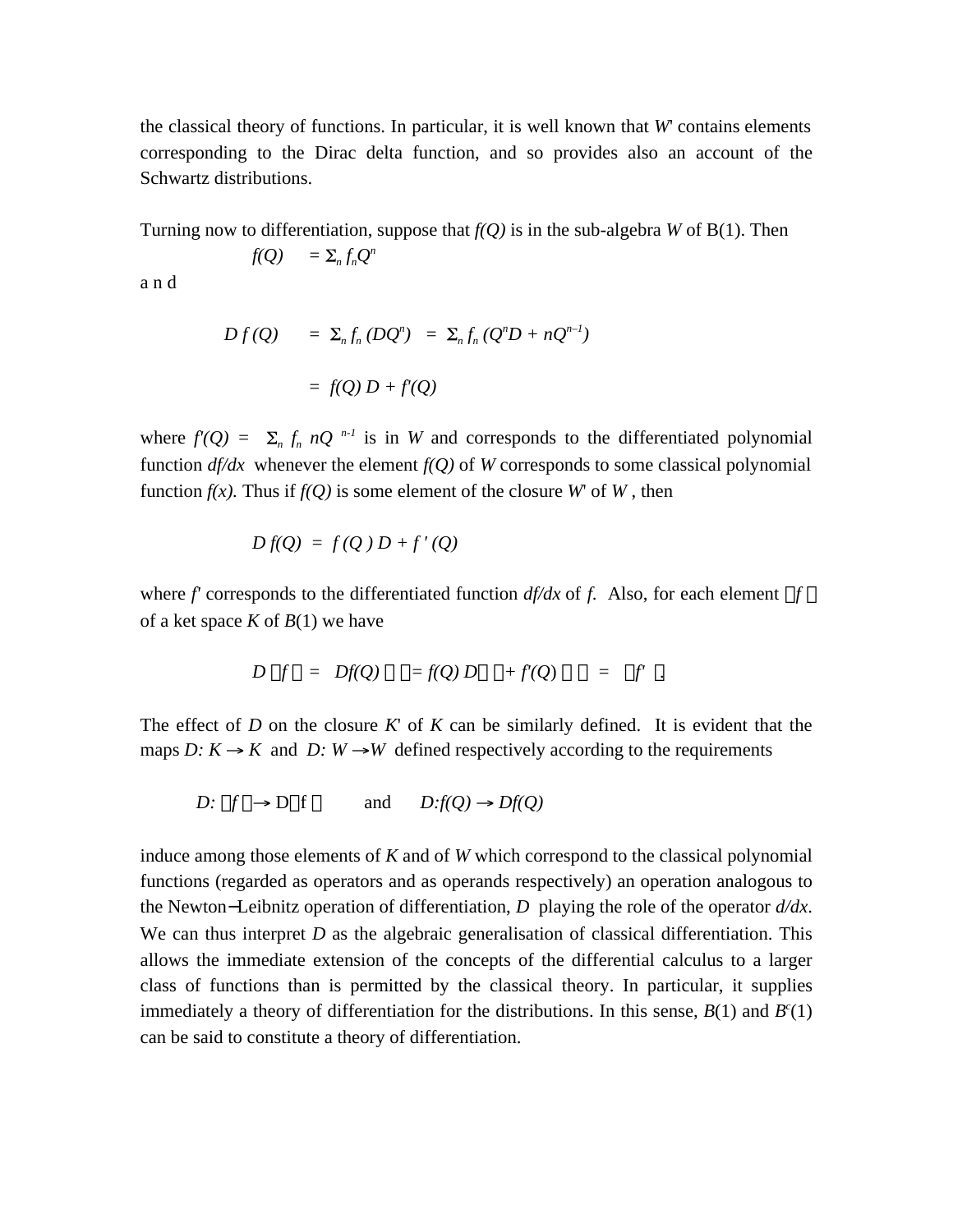the classical theory of functions. In particular, it is well known that *W*' contains elements corresponding to the Dirac delta function, and so provides also an account of the Schwartz distributions.

Turning now to differentiation, suppose that *f(Q)* is in the sub-algebra *W* of B(1). Then

$$
f(Q) = \sum_n f_n Q^n
$$

a n d

$$
Df(Q) = \Sigma_n f_n (DQ^n) = \Sigma_n f_n (Q^n D + nQ^{n-1})
$$

$$
= f(Q) D + f'(Q)
$$

where  $f'(Q) = \sum_{n} f_n nQ^{n-1}$  is in W and corresponds to the differentiated polynomial function  $df/dx$  whenever the element  $f(Q)$  of W corresponds to some classical polynomial function  $f(x)$ . Thus if  $f(Q)$  is some element of the closure *W* of *W*, then

$$
Df(Q) = f(Q) D + f'(Q)
$$

where *f'* corresponds to the differentiated function *df/dx* of *f*. Also, for each element *f* of a ket space *K* of *B*(1) we have

$$
D f = Df(Q) = f(Q) D + f(Q) = f'.
$$

The effect of *D* on the closure *K*' of *K* can be similarly defined. It is evident that the maps *D:*  $K \rightarrow K$  and *D:*  $W \rightarrow W$  defined respectively according to the requirements

$$
D: f \to D \quad f \qquad \text{and} \qquad D: f(Q) \to Df(Q)
$$

induce among those elements of *K* and of *W* which correspond to the classical polynomial functions (regarded as operators and as operands respectively) an operation analogous to the Newton−Leibnitz operation of differentiation, *D* playing the role of the operator *d/dx*. We can thus interpret *D* as the algebraic generalisation of classical differentiation. This allows the immediate extension of the concepts of the differential calculus to a larger class of functions than is permitted by the classical theory. In particular, it supplies immediately a theory of differentiation for the distributions. In this sense,  $B(1)$  and  $B^{c}(1)$ can be said to constitute a theory of differentiation.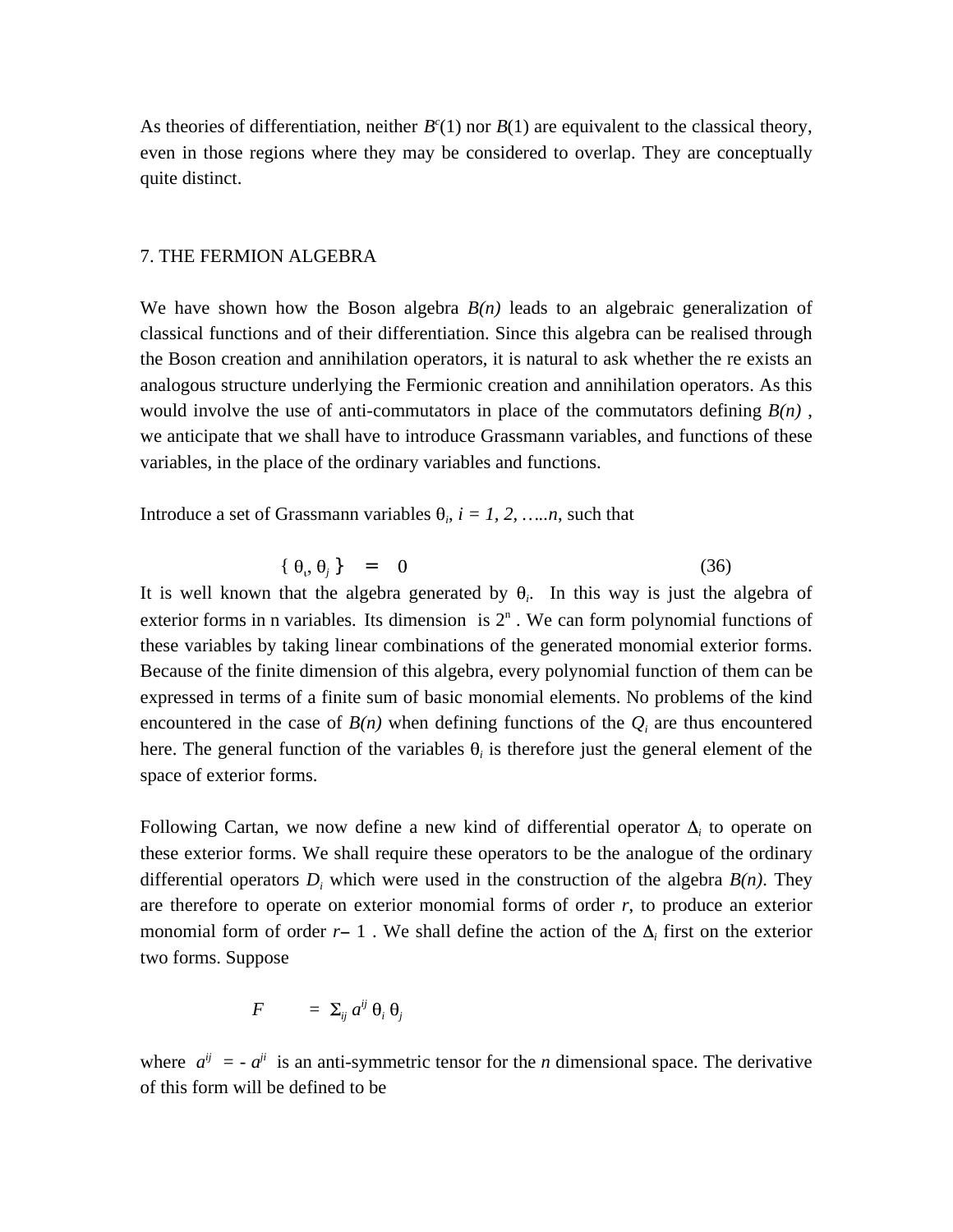As theories of differentiation, neither  $B<sup>c</sup>(1)$  nor  $B(1)$  are equivalent to the classical theory, even in those regions where they may be considered to overlap. They are conceptually quite distinct.

## 7. THE FERMION ALGEBRA

We have shown how the Boson algebra  $B(n)$  leads to an algebraic generalization of classical functions and of their differentiation. Since this algebra can be realised through the Boson creation and annihilation operators, it is natural to ask whether the re exists an analogous structure underlying the Fermionic creation and annihilation operators. As this would involve the use of anti-commutators in place of the commutators defining  $B(n)$ , we anticipate that we shall have to introduce Grassmann variables, and functions of these variables, in the place of the ordinary variables and functions.

Introduce a set of Grassmann variables  $\theta_i$ ,  $i = 1, 2, ..., n$ , such that

$$
\{\theta_i, \theta_j\} = 0 \tag{36}
$$

It is well known that the algebra generated by  $\theta_i$ . In this way is just the algebra of exterior forms in n variables. Its dimension is  $2<sup>n</sup>$ . We can form polynomial functions of these variables by taking linear combinations of the generated monomial exterior forms. Because of the finite dimension of this algebra, every polynomial function of them can be expressed in terms of a finite sum of basic monomial elements. No problems of the kind encountered in the case of  $B(n)$  when defining functions of the  $Q_i$  are thus encountered here. The general function of the variables  $\theta_i$  is therefore just the general element of the space of exterior forms.

Following Cartan, we now define a new kind of differential operator  $\Delta_i$  to operate on these exterior forms. We shall require these operators to be the analogue of the ordinary differential operators  $D_i$  which were used in the construction of the algebra  $B(n)$ . They are therefore to operate on exterior monomial forms of order *r*, to produce an exterior monomial form of order  $r-1$ . We shall define the action of the  $\Delta_i$  first on the exterior two forms. Suppose

$$
F = \sum_{ij} a^{ij} \theta_i \theta_j
$$

where  $a^{ij} = -a^{ji}$  is an anti-symmetric tensor for the *n* dimensional space. The derivative of this form will be defined to be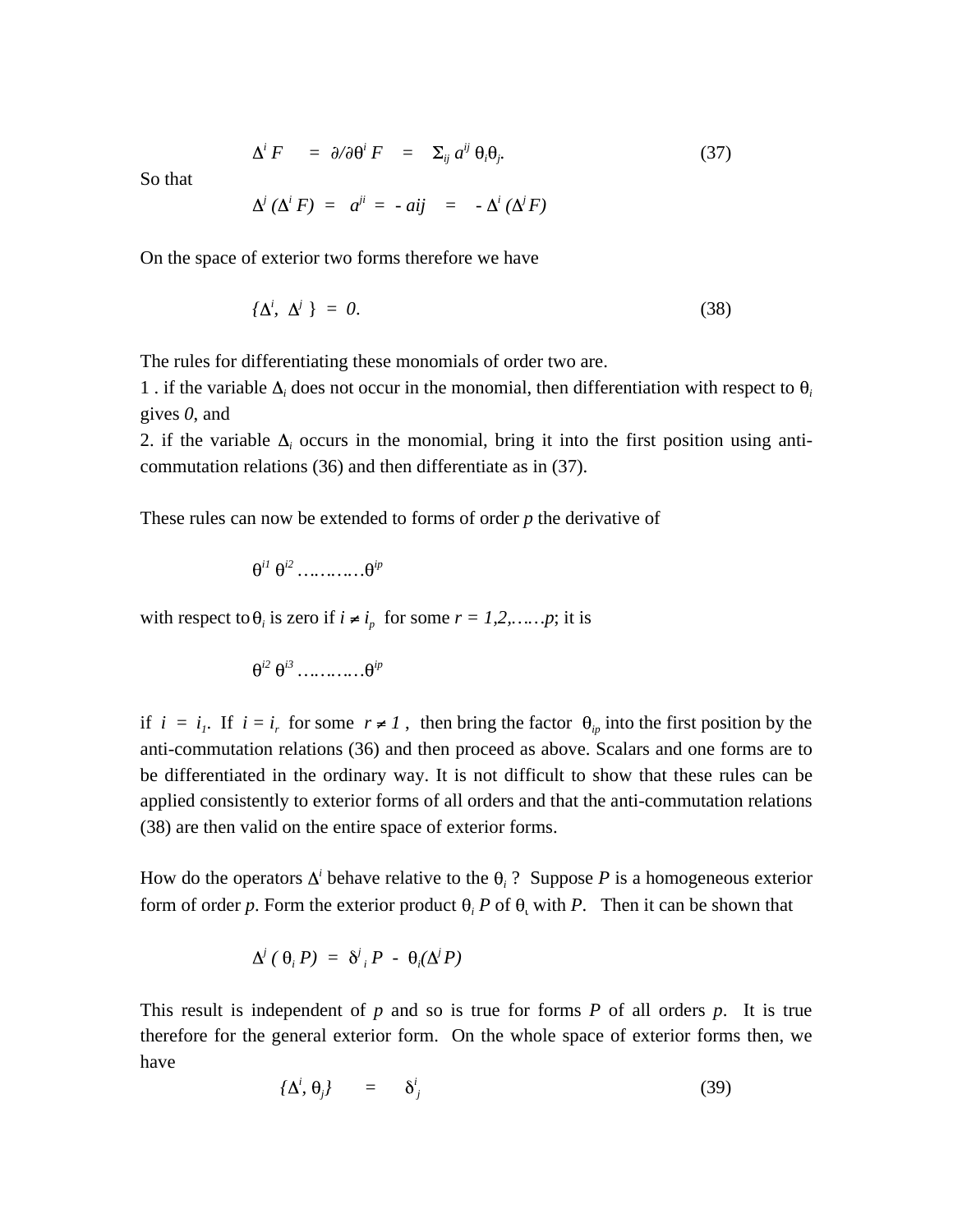$$
\Delta^i F = \partial/\partial \theta^i F = \Sigma_{ij} a^{ij} \theta_i \theta_j. \tag{37}
$$

So that

$$
\Delta^i\,(\Delta^i\,F) = a^{ji} = -aij = -\Delta^i\,(\Delta^jF)
$$

On the space of exterior two forms therefore we have

$$
\{\Delta^i, \ \Delta^j\} = 0. \tag{38}
$$

The rules for differentiating these monomials of order two are.

1 . if the variable  $\Delta_i$  does not occur in the monomial, then differentiation with respect to  $\theta_i$ gives *0*, and

2. if the variable  $\Delta_i$  occurs in the monomial, bring it into the first position using anticommutation relations (36) and then differentiate as in (37).

These rules can now be extended to forms of order *p* the derivative of

$$
\theta^{i1} \theta^{i2} \dots \dots \dots \dots \theta^{ip}
$$

with respect to  $\theta_i$  is zero if  $i \neq i_p$  for some  $r = 1, 2, ..., p$ ; it is

$$
\theta^{i2} \ \theta^{i3} \ \ldots \ldots \ldots \ldots \theta^{ip}
$$

if  $i = i<sub>i</sub>$ . If  $i = i<sub>r</sub>$  for some  $r \neq 1$ , then bring the factor  $\theta_{ip}$  into the first position by the anti-commutation relations (36) and then proceed as above. Scalars and one forms are to be differentiated in the ordinary way. It is not difficult to show that these rules can be applied consistently to exterior forms of all orders and that the anti-commutation relations (38) are then valid on the entire space of exterior forms.

How do the operators  $\Delta^i$  behave relative to the  $\theta_i$  ? Suppose P is a homogeneous exterior form of order p. Form the exterior product  $\theta$ <sub>i</sub> P of  $\theta$ <sub>i</sub> with P. Then it can be shown that

$$
\Delta^j \left( \begin{array}{c} \theta_i \, P \end{array} \right) \; = \; \delta^j \, _i \, P \; - \; \theta_i (\Delta^j \, P)
$$

This result is independent of *p* and so is true for forms *P* of all orders *p*. It is true therefore for the general exterior form. On the whole space of exterior forms then, we have

$$
\{\Delta^i, \theta_j\} = \delta^i_j \tag{39}
$$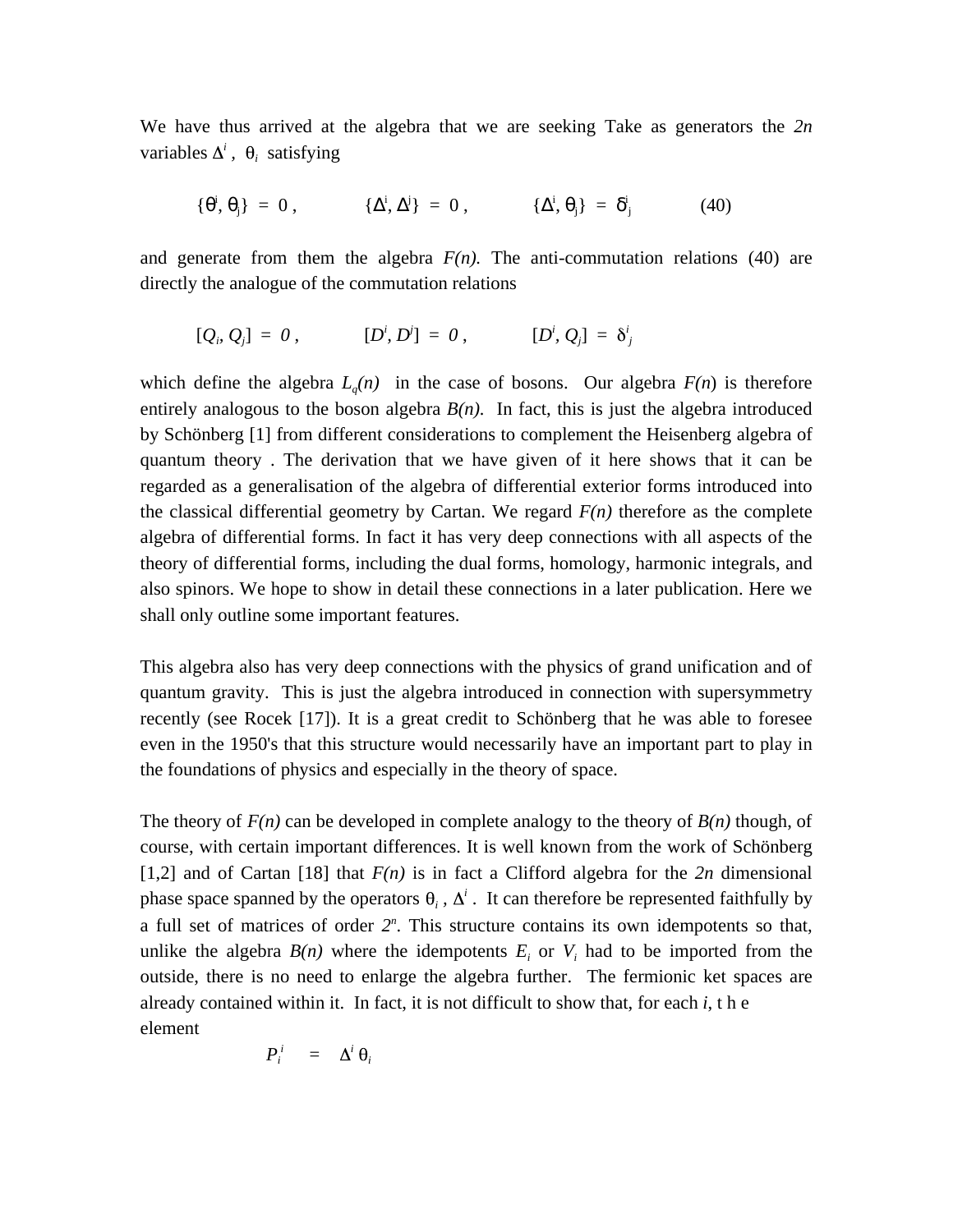We have thus arrived at the algebra that we are seeking Take as generators the *2n* variables  $\Delta^i$ ,  $\theta_i$  satisfying

$$
\{\begin{array}{ccc} i, & j \end{array}\} = 0, \qquad \{\begin{array}{ccc} i, & j \end{array}\} = 0, \qquad \{\begin{array}{ccc} i, & j \end{array}\} = \begin{array}{ccc} i \\ j \end{array} \tag{40}
$$

and generate from them the algebra  $F(n)$ . The anti-commutation relations (40) are directly the analogue of the commutation relations

$$
[Q_i, Q_j] = 0, \qquad [D^i, D^j] = 0, \qquad [D^i, Q_j] = \delta^i_j
$$

which define the algebra  $L_q(n)$  in the case of bosons. Our algebra  $F(n)$  is therefore entirely analogous to the boson algebra  $B(n)$ . In fact, this is just the algebra introduced by Schönberg [1] from different considerations to complement the Heisenberg algebra of quantum theory . The derivation that we have given of it here shows that it can be regarded as a generalisation of the algebra of differential exterior forms introduced into the classical differential geometry by Cartan. We regard  $F(n)$  therefore as the complete algebra of differential forms. In fact it has very deep connections with all aspects of the theory of differential forms, including the dual forms, homology, harmonic integrals, and also spinors. We hope to show in detail these connections in a later publication. Here we shall only outline some important features.

This algebra also has very deep connections with the physics of grand unification and of quantum gravity. This is just the algebra introduced in connection with supersymmetry recently (see Rocek [17]). It is a great credit to Schönberg that he was able to foresee even in the 1950's that this structure would necessarily have an important part to play in the foundations of physics and especially in the theory of space.

The theory of  $F(n)$  can be developed in complete analogy to the theory of  $B(n)$  though, of course, with certain important differences. It is well known from the work of Schönberg [1,2] and of Cartan [18] that  $F(n)$  is in fact a Clifford algebra for the 2n dimensional phase space spanned by the operators  $\theta_i$ ,  $\Delta^i$ . It can therefore be represented faithfully by a full set of matrices of order  $2^n$ . This structure contains its own idempotents so that, unlike the algebra  $B(n)$  where the idempotents  $E_i$  or  $V_i$  had to be imported from the outside, there is no need to enlarge the algebra further. The fermionic ket spaces are already contained within it. In fact, it is not difficult to show that, for each *i*, t h e element

$$
P_i^i = \Delta^i \theta_i
$$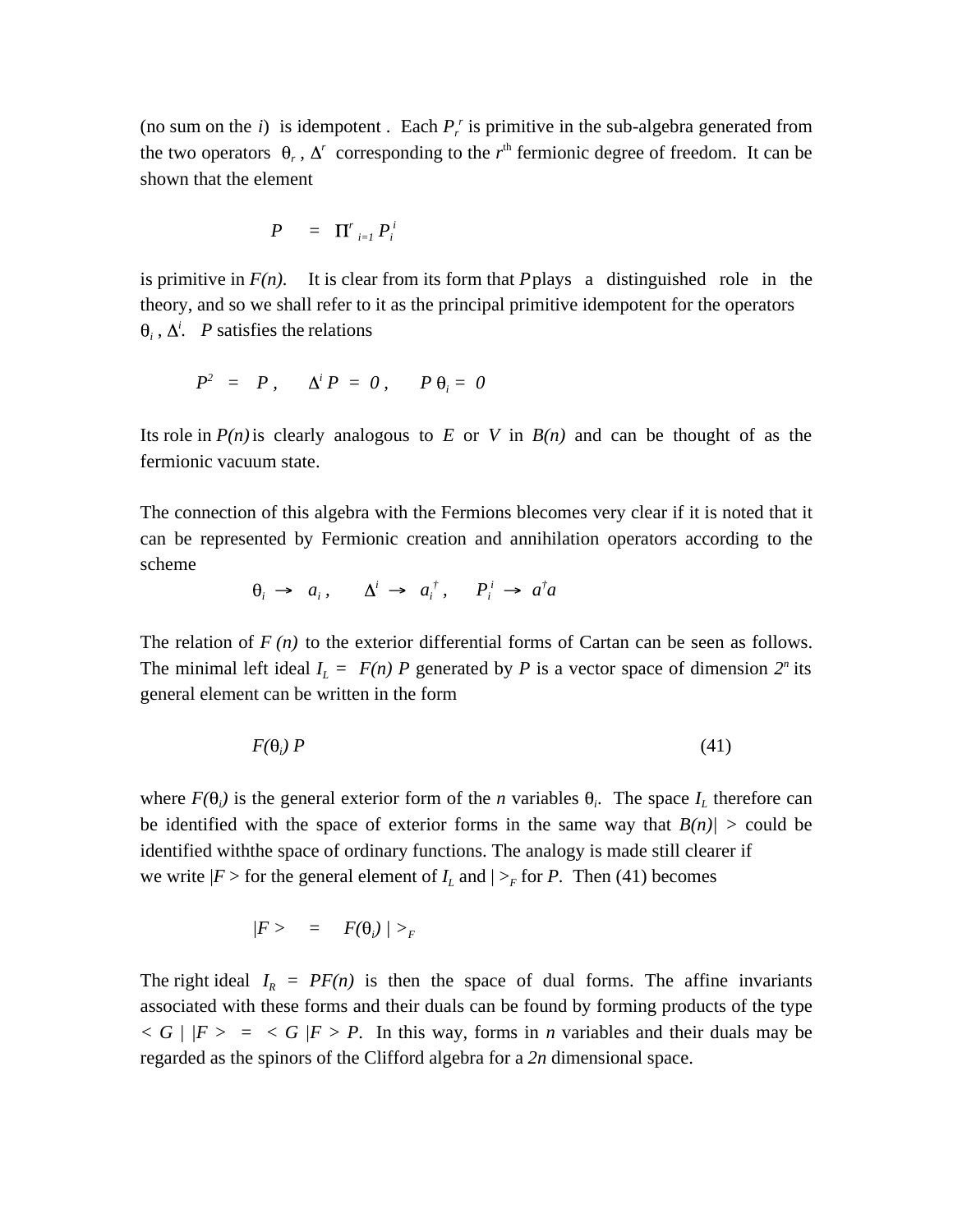(no sum on the  $i$ ) is idempotent. Each  $P_r^r$  is primitive in the sub-algebra generated from the two operators  $\theta_r$ ,  $\Delta^r$  corresponding to the  $r<sup>th</sup>$  fermionic degree of freedom. It can be shown that the element

$$
P = \Pi'_{i=1} P_i^i
$$

is primitive in  $F(n)$ . It is clear from its form that *P* plays a distinguished role in the theory, and so we shall refer to it as the principal primitive idempotent for the operators  $\lambda_i$ ,  $\Delta_i^i$ . *P* satisfies the relations

$$
P^2 = P, \quad \Delta^i P = 0, \quad P \theta_i = 0
$$

Its role in  $P(n)$  is clearly analogous to *E* or *V* in  $B(n)$  and can be thought of as the fermionic vacuum state.

The connection of this algebra with the Fermions blecomes very clear if it is noted that it can be represented by Fermionic creation and annihilation operators according to the scheme

$$
\theta_i \rightarrow a_i, \qquad \Delta^i \rightarrow a_i^{\dagger}, \qquad P_i^i \rightarrow a^{\dagger}a
$$

The relation of  $F(n)$  to the exterior differential forms of Cartan can be seen as follows. The minimal left ideal  $I_L = F(n)$  *P* generated by *P* is a vector space of dimension  $2^n$  its general element can be written in the form

$$
F(\theta_i) P \tag{41}
$$

where  $F(\theta_i)$  is the general exterior form of the *n* variables  $\theta_i$ . The space  $I_L$  therefore can be identified with the space of exterior forms in the same way that  $B(n)/ >$  could be identified withthe space of ordinary functions. The analogy is made still clearer if we write  $|F|$  or the general element of  $I_L$  and  $|>_F$  for *P*. Then (41) becomes

$$
|F\rangle = F(\theta_i) / \rangle_F
$$

The right ideal  $I_R = PF(n)$  is then the space of dual forms. The affine invariants associated with these forms and their duals can be found by forming products of the type  $\langle G \rangle / F \rangle = \langle G \rangle / F \rangle$  *P*. In this way, forms in *n* variables and their duals may be regarded as the spinors of the Clifford algebra for a *2n* dimensional space.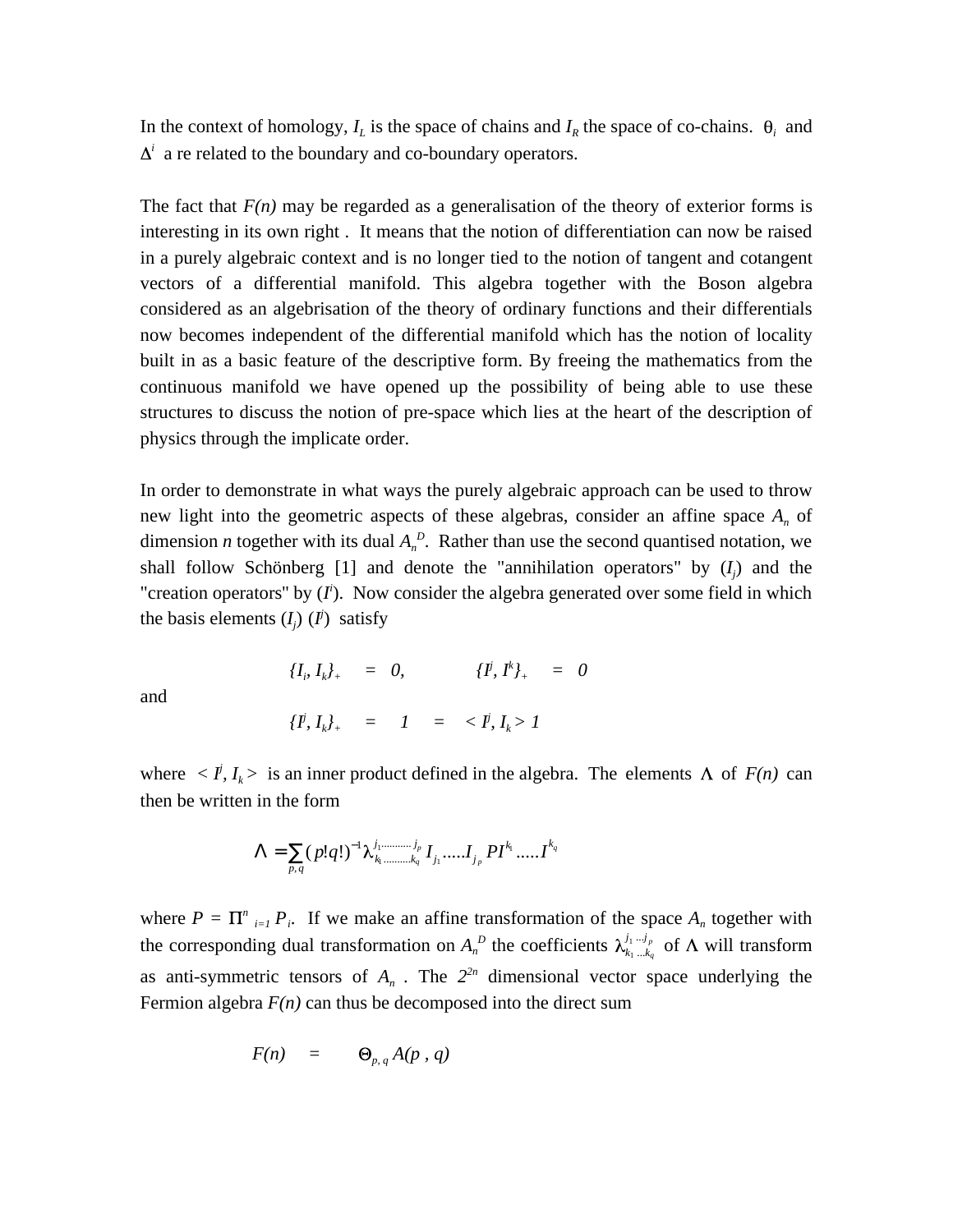In the context of homology,  $I_L$  is the space of chains and  $I_R$  the space of co-chains.  $\theta_i$  and <sup>*i*</sup> a re related to the boundary and co-boundary operators.

The fact that  $F(n)$  may be regarded as a generalisation of the theory of exterior forms is interesting in its own right . It means that the notion of differentiation can now be raised in a purely algebraic context and is no longer tied to the notion of tangent and cotangent vectors of a differential manifold. This algebra together with the Boson algebra considered as an algebrisation of the theory of ordinary functions and their differentials now becomes independent of the differential manifold which has the notion of locality built in as a basic feature of the descriptive form. By freeing the mathematics from the continuous manifold we have opened up the possibility of being able to use these structures to discuss the notion of pre-space which lies at the heart of the description of physics through the implicate order.

In order to demonstrate in what ways the purely algebraic approach can be used to throw new light into the geometric aspects of these algebras, consider an affine space  $A_n$  of dimension *n* together with its dual  $A_n^D$ . Rather than use the second quantised notation, we shall follow Schönberg [1] and denote the "annihilation operators" by  $(I_j)$  and the "creation operators" by  $(I<sup>i</sup>)$ . Now consider the algebra generated over some field in which the basis elements  $(I_j)$   $(I^j)$  satisfy

and

$$
\{I^j, I_k\}_{+} = I = \langle I, I_k \rangle
$$

 $\{I^j, I^k\}$ <sub>+</sub> = 0,  $\{I^j, I^{k}\}$ <sub>+</sub> = 0

where  $\langle I, I_k \rangle$  is an inner product defined in the algebra. The elements  $\Lambda$  of  $F(n)$  can then be written in the form

$$
= \bigg( \big(p! q! \big)^{-1} \lambda_{k_1, \dots, k_q}^{j_1, \dots, j_p} I_{j_1}, \dots, I_{j_p} P I^{k_1}, \dots, I^{k_q}
$$

where  $P = \prod_{i=1}^{n} P_i$ . If we make an affine transformation of the space  $A_n$  together with the corresponding dual transformation on  $A_n^D$  the coefficients  $\lambda_{k_1...k_q}^{j_1...j_p}$  of  $\Lambda$  will transform as anti-symmetric tensors of  $A_n$ . The  $2^{2n}$  dimensional vector space underlying the Fermion algebra  $F(n)$  can thus be decomposed into the direct sum

$$
F(n) = \Theta_{p,q} A(p,q)
$$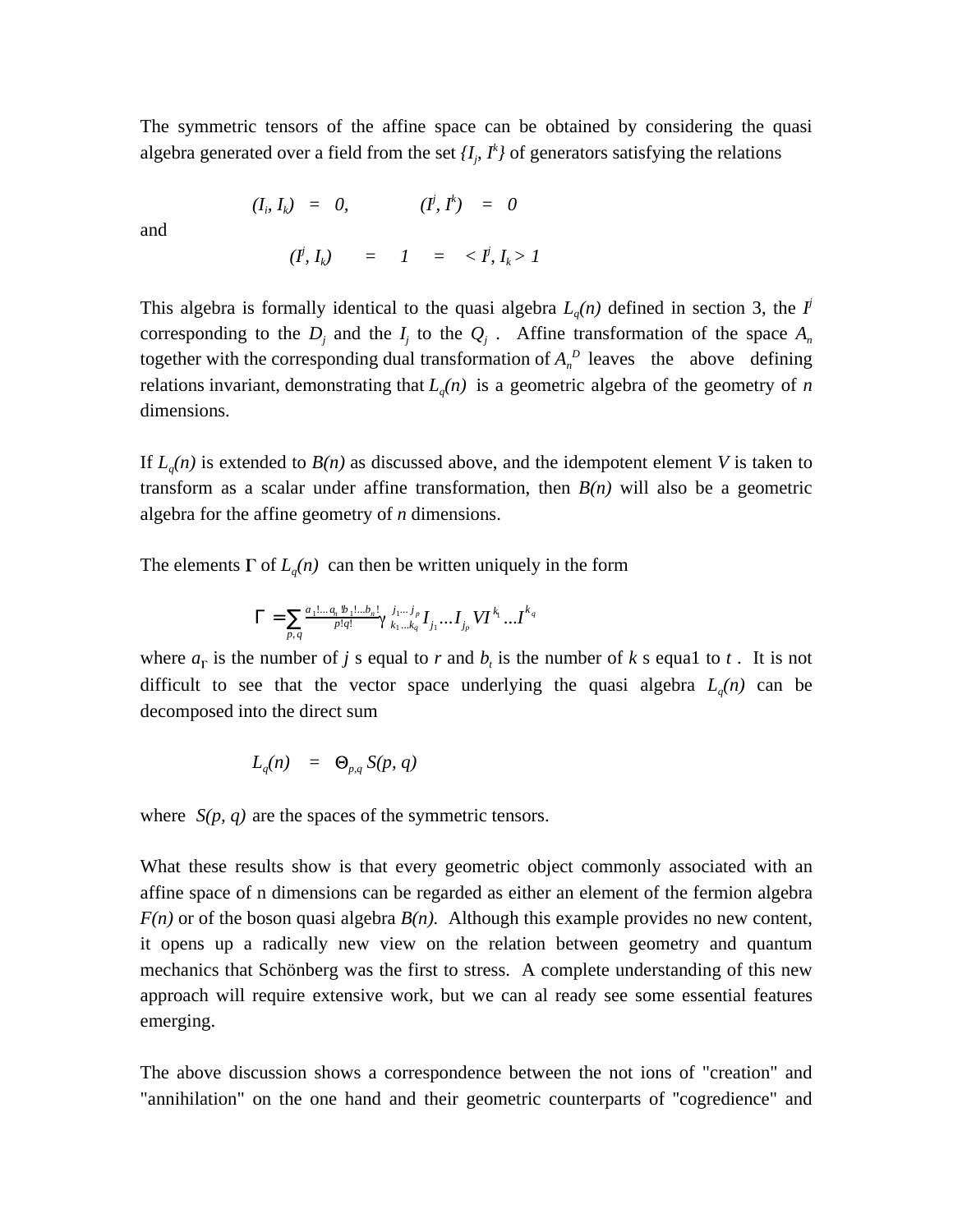The symmetric tensors of the affine space can be obtained by considering the quasi algebra generated over a field from the set  $\{I_j, I^k\}$  of generators satisfying the relations

and

$$
(\dot{I}, I_k) = I = \langle I, I_k \rangle I
$$

 $(I_i, I_k) = 0,$   $(I^i, I^k) = 0$ 

This algebra is formally identical to the quasi algebra  $L_q(n)$  defined in section 3, the *I*<sup>*j*</sup> corresponding to the  $D_j$  and the  $I_j$  to the  $Q_j$ . Affine transformation of the space  $A_n$ together with the corresponding dual transformation of  $A_n^D$  leaves the above defining relations invariant, demonstrating that  $L_q(n)$  is a geometric algebra of the geometry of *n* dimensions.

If  $L_q(n)$  is extended to  $B(n)$  as discussed above, and the idempotent element *V* is taken to transform as a scalar under affine transformation, then *B(n)* will also be a geometric algebra for the affine geometry of *n* dimensions.

The elements  $\Gamma$  of  $L_q(n)$  can then be written uniquely in the form

$$
=\frac{a_1!...a_n!b_1!...b_n!}{p!q!}\gamma\prod_{k_1...k_q}^{j_1...j_p}I_{j_1}...I_{j_p}V I^{k_1}...I^{k_q}
$$

where  $a_{\Gamma}$  is the number of *j* s equal to *r* and  $b_t$  is the number of *k* s equal to *t*. It is not difficult to see that the vector space underlying the quasi algebra  $L_q(n)$  can be decomposed into the direct sum

$$
L_q(n) = \Theta_{p,q} S(p,q)
$$

where *S(p, q)* are the spaces of the symmetric tensors.

What these results show is that every geometric object commonly associated with an affine space of n dimensions can be regarded as either an element of the fermion algebra  $F(n)$  or of the boson quasi algebra  $B(n)$ . Although this example provides no new content, it opens up a radically new view on the relation between geometry and quantum mechanics that Schönberg was the first to stress. A complete understanding of this new approach will require extensive work, but we can al ready see some essential features emerging.

The above discussion shows a correspondence between the not ions of "creation" and "annihilation" on the one hand and their geometric counterparts of ''cogredience" and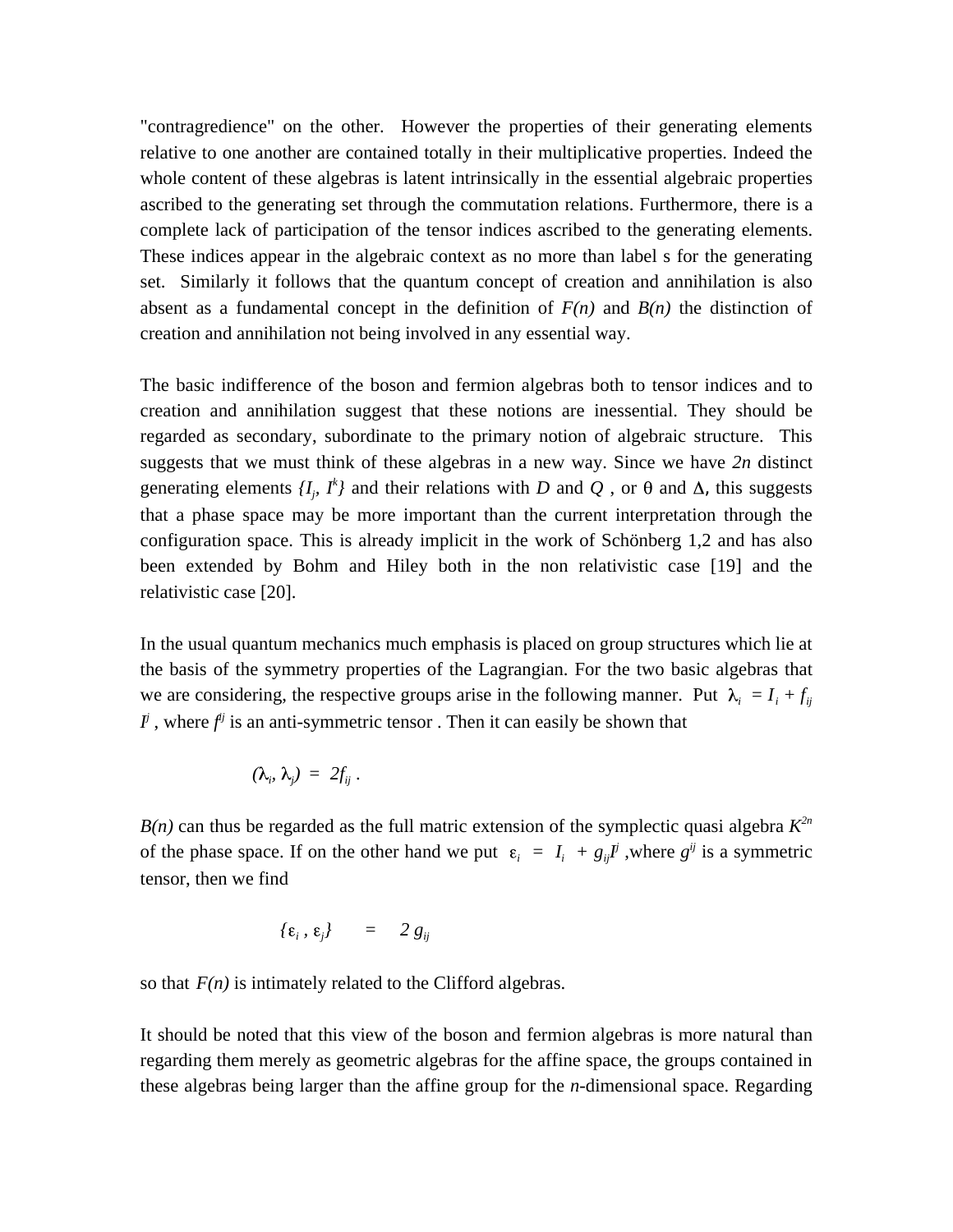"contragredience" on the other. However the properties of their generating elements relative to one another are contained totally in their multiplicative properties. Indeed the whole content of these algebras is latent intrinsically in the essential algebraic properties ascribed to the generating set through the commutation relations. Furthermore, there is a complete lack of participation of the tensor indices ascribed to the generating elements. These indices appear in the algebraic context as no more than label s for the generating set. Similarly it follows that the quantum concept of creation and annihilation is also absent as a fundamental concept in the definition of  $F(n)$  and  $B(n)$  the distinction of creation and annihilation not being involved in any essential way.

The basic indifference of the boson and fermion algebras both to tensor indices and to creation and annihilation suggest that these notions are inessential. They should be regarded as secondary, subordinate to the primary notion of algebraic structure. This suggests that we must think of these algebras in a new way. Since we have *2n* distinct generating elements  $\{I_j, I^k\}$  and their relations with *D* and *Q*, or  $\theta$  and  $\Delta$ , this suggests that a phase space may be more important than the current interpretation through the configuration space. This is already implicit in the work of Schönberg 1,2 and has also been extended by Bohm and Hiley both in the non relativistic case [19] and the relativistic case [20].

In the usual quantum mechanics much emphasis is placed on group structures which lie at the basis of the symmetry properties of the Lagrangian. For the two basic algebras that we are considering, the respective groups arise in the following manner. Put  $\lambda_i = I_i + f_{ij}$  $I^j$ , where  $f^{ij}$  is an anti-symmetric tensor. Then it can easily be shown that

$$
(\lambda_i, \lambda_j) = 2f_{ij}.
$$

 $B(n)$  can thus be regarded as the full matric extension of the symplectic quasi algebra  $K^{2n}$ of the phase space. If on the other hand we put  $\varepsilon_i = I_i + g_{ij}I^j$ , where  $g^{ij}$  is a symmetric tensor, then we find

$$
\{\varepsilon_i, \, \varepsilon_j\} \qquad = \qquad 2 \, g_{ij}
$$

so that  $F(n)$  is intimately related to the Clifford algebras.

It should be noted that this view of the boson and fermion algebras is more natural than regarding them merely as geometric algebras for the affine space, the groups contained in these algebras being larger than the affine group for the *n*-dimensional space. Regarding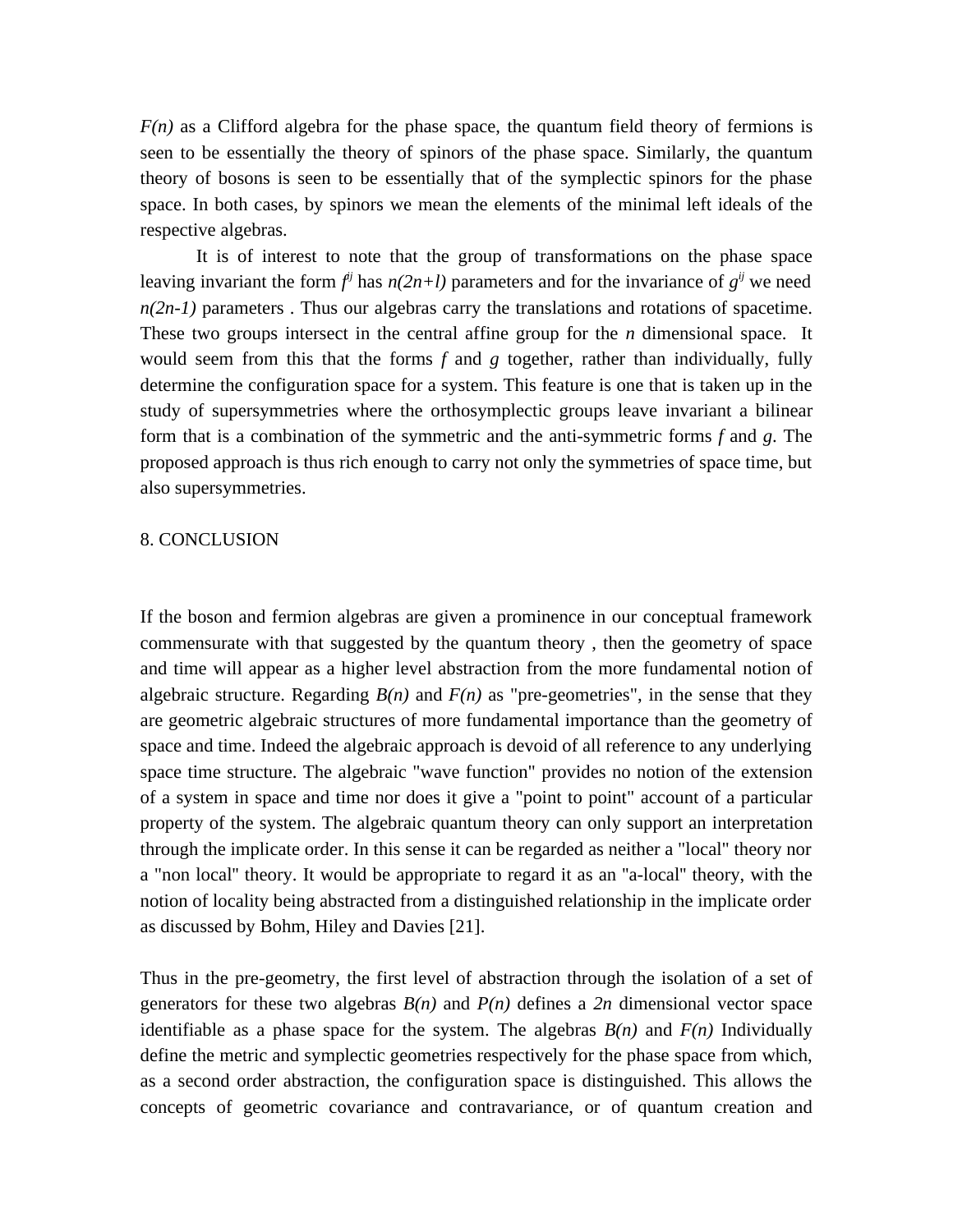$F(n)$  as a Clifford algebra for the phase space, the quantum field theory of fermions is seen to be essentially the theory of spinors of the phase space. Similarly, the quantum theory of bosons is seen to be essentially that of the symplectic spinors for the phase space. In both cases, by spinors we mean the elements of the minimal left ideals of the respective algebras.

It is of interest to note that the group of transformations on the phase space leaving invariant the form  $f^{ij}$  has  $n(2n+l)$  parameters and for the invariance of  $g^{ij}$  we need  $n(2n-1)$  parameters. Thus our algebras carry the translations and rotations of spacetime. These two groups intersect in the central affine group for the *n* dimensional space. It would seem from this that the forms *f* and *g* together, rather than individually, fully determine the configuration space for a system. This feature is one that is taken up in the study of supersymmetries where the orthosymplectic groups leave invariant a bilinear form that is a combination of the symmetric and the anti-symmetric forms *f* and *g*. The proposed approach is thus rich enough to carry not only the symmetries of space time, but also supersymmetries.

#### 8. CONCLUSION

If the boson and fermion algebras are given a prominence in our conceptual framework commensurate with that suggested by the quantum theory , then the geometry of space and time will appear as a higher level abstraction from the more fundamental notion of algebraic structure. Regarding  $B(n)$  and  $F(n)$  as "pre-geometries", in the sense that they are geometric algebraic structures of more fundamental importance than the geometry of space and time. Indeed the algebraic approach is devoid of all reference to any underlying space time structure. The algebraic "wave function" provides no notion of the extension of a system in space and time nor does it give a "point to point" account of a particular property of the system. The algebraic quantum theory can only support an interpretation through the implicate order. In this sense it can be regarded as neither a "local" theory nor a "non local'' theory. It would be appropriate to regard it as an ''a-local'' theory, with the notion of locality being abstracted from a distinguished relationship in the implicate order as discussed by Bohm, Hiley and Davies [21].

Thus in the pre-geometry, the first level of abstraction through the isolation of a set of generators for these two algebras *B(n)* and *P(n)* defines a *2n* dimensional vector space identifiable as a phase space for the system. The algebras  $B(n)$  and  $F(n)$  Individually define the metric and symplectic geometries respectively for the phase space from which, as a second order abstraction, the configuration space is distinguished. This allows the concepts of geometric covariance and contravariance, or of quantum creation and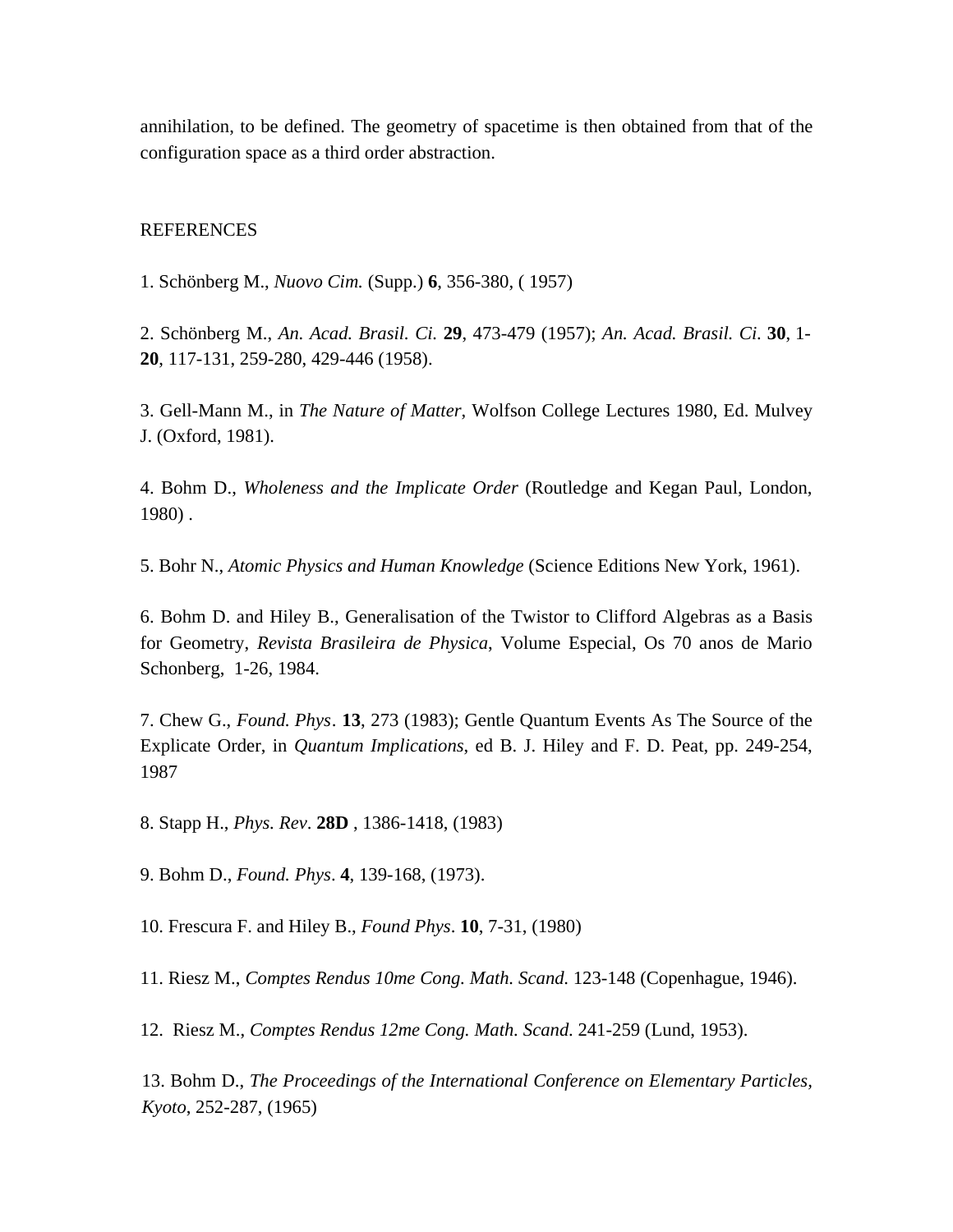annihilation, to be defined. The geometry of spacetime is then obtained from that of the configuration space as a third order abstraction.

### **REFERENCES**

1. Schönberg M., *Nuovo Cim.* (Supp.) **6**, 356-380, ( 1957)

2. Schönberg M., *An. Acad. Brasil. Ci.* **29**, 473-479 (1957); *An. Acad. Brasil. Ci*. **30**, 1- **20**, 117-131, 259-280, 429-446 (1958).

3. Gell-Mann M., in *The Nature of Matter*, Wolfson College Lectures 1980, Ed. Mulvey J. (Oxford, 1981).

4. Bohm D., *Wholeness and the Implicate Order* (Routledge and Kegan Paul, London, 1980) .

5. Bohr N., *Atomic Physics and Human Knowledge* (Science Editions New York, 1961).

6. Bohm D. and Hiley B., Generalisation of the Twistor to Clifford Algebras as a Basis for Geometry, *Revista Brasileira de Physica*, Volume Especial, Os 70 anos de Mario Schonberg, 1-26, 1984.

7. Chew G., *Found. Phys*. **13**, 273 (1983); Gentle Quantum Events As The Source of the Explicate Order, in *Quantum Implications*, ed B. J. Hiley and F. D. Peat, pp. 249-254, 1987

8. Stapp H., *Phys. Rev*. **28D** , 1386-1418, (1983)

9. Bohm D., *Found. Phys*. **4**, 139-168, (1973).

10. Frescura F. and Hiley B., *Found Phys*. **10**, 7-31, (1980)

11. Riesz M., *Comptes Rendus 10me Cong. Math. Scand*. 123-148 (Copenhague, 1946).

12. Riesz M., *Comptes Rendus 12me Cong. Math. Scand*. 241-259 (Lund, 1953).

13. Bohm D., *The Proceedings of the International Conference on Elementary Particles, Kyoto*, 252-287, (1965)